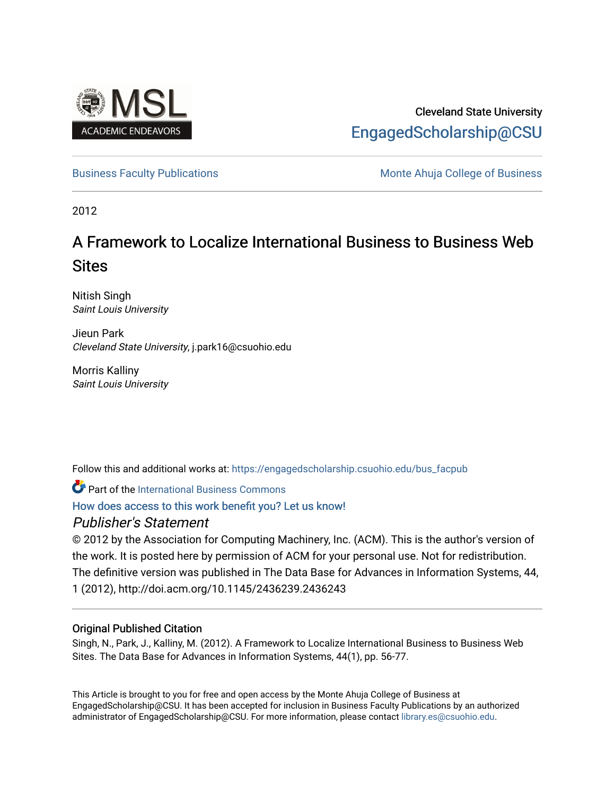

# Cleveland State University [EngagedScholarship@CSU](https://engagedscholarship.csuohio.edu/)

[Business Faculty Publications](https://engagedscholarship.csuohio.edu/bus_facpub) **Monte Ahuja College of Business** Monte Ahuja College of Business

2012

# A Framework to Localize International Business to Business Web **Sites**

Nitish Singh Saint Louis University

Jieun Park Cleveland State University, j.park16@csuohio.edu

Morris Kalliny Saint Louis University

Follow this and additional works at: [https://engagedscholarship.csuohio.edu/bus\\_facpub](https://engagedscholarship.csuohio.edu/bus_facpub?utm_source=engagedscholarship.csuohio.edu%2Fbus_facpub%2F24&utm_medium=PDF&utm_campaign=PDFCoverPages) 

**C** Part of the International Business Commons

[How does access to this work benefit you? Let us know!](http://library.csuohio.edu/engaged/)

Publisher's Statement

© 2012 by the Association for Computing Machinery, Inc. (ACM). This is the author's version of the work. It is posted here by permission of ACM for your personal use. Not for redistribution. The definitive version was published in The Data Base for Advances in Information Systems, 44, 1 (2012), http://doi.acm.org/10.1145/2436239.2436243

# Original Published Citation

Singh, N., Park, J., Kalliny, M. (2012). A Framework to Localize International Business to Business Web Sites. The Data Base for Advances in Information Systems, 44(1), pp. 56-77.

This Article is brought to you for free and open access by the Monte Ahuja College of Business at EngagedScholarship@CSU. It has been accepted for inclusion in Business Faculty Publications by an authorized administrator of EngagedScholarship@CSU. For more information, please contact [library.es@csuohio.edu.](mailto:library.es@csuohio.edu)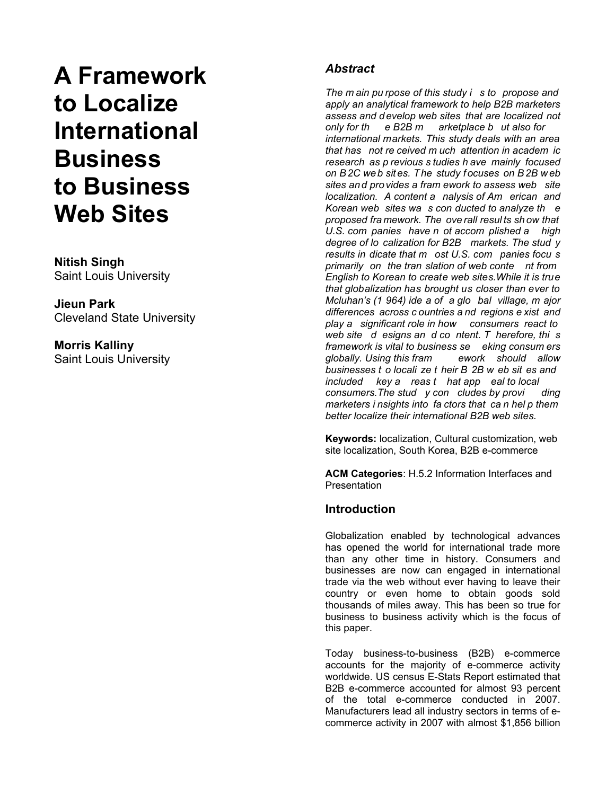# **A Framework to Localize International Business to Business Web Sites**

# **Nitish Singh**  Saint Louis University

**Jieun Park**  Cleveland State University

**Morris Kalliny**  Saint Louis University

# *Abstract*

*The m ain pu rpose of this study i s to propose and apply an analytical framework to help B2B marketers assess and develop web sites that are localized not only for th e B2B m arketplace b ut also for international markets. This study deals with an area that has not re ceived m uch attention in academ ic research as p revious s tudies h ave mainly focused on B2C web sites. The study focuses on B2B web sites and provides a fram ework to assess web site localization. A content a nalysis of Am erican and Korean web sites wa s con ducted to analyze th e proposed fra mework. The ove rall resul ts sh ow that U.S. com panies have n ot accom plished a high degree of lo calization for B2B markets. The stud y results in dicate that m ost U.S. com panies focu s primarily on the tran slation of web conte nt from English to Korean to create web sites.While it is true that globalization has brought us closer than ever to Mcluhan's (1 964) ide a of a glo bal village, m ajor differences across c ountries a nd regions e xist and play a significant role in how consumers react to web site d esigns an d co ntent. T herefore, thi s framework is vital to business se eking consum ers globally. Using this fram businesses t o locali ze t heir B 2B w eb sit es and included key a reas t hat app eal to local consumers.The stud y con cludes by provi ding marketers i nsights into fa ctors that ca n hel p them better localize their international B2B web sites.* 

**Keywords:** localization, Cultural customization, web site localization, South Korea, B2B e-commerce

**ACM Categories**: H.5.2 Information Interfaces and **Presentation** 

# **Introduction**

Globalization enabled by technological advances has opened the world for international trade more than any other time in history. Consumers and businesses are now can engaged in international trade via the web without ever having to leave their country or even home to obtain goods sold thousands of miles away. This has been so true for business to business activity which is the focus of this paper.

Today business-to-business (B2B) e-commerce accounts for the majority of e-commerce activity worldwide. US census E-Stats Report estimated that B2B e-commerce accounted for almost 93 percent of the total e-commerce conducted in 2007. Manufacturers lead all industry sectors in terms of ecommerce activity in 2007 with almost \$1,856 billion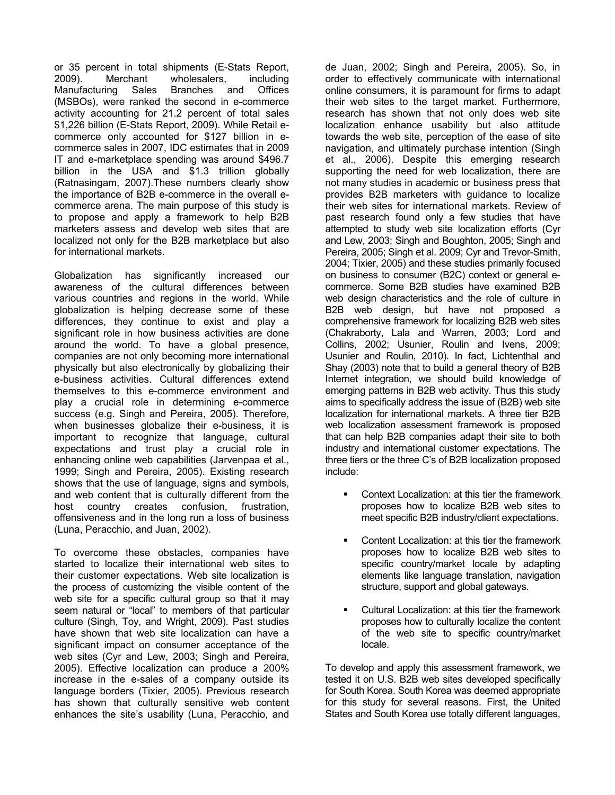or 35 percent in total shipments (E-Stats Report, 2009). Merchant wholesalers, including Manufacturing Sales Branches and Offices (MSBOs), were ranked the second in e-commerce activity accounting for 21.2 percent of total sales \$1,226 billion (E-Stats Report, 2009). While Retail ecommerce only accounted for \$127 billion in ecommerce sales in 2007, IDC estimates that in 2009 IT and e-marketplace spending was around \$496.7 billion in the USA and \$1.3 trillion globally (Ratnasingam, 2007).These numbers clearly show the importance of B2B e-commerce in the overall ecommerce arena. The main purpose of this study is to propose and apply a framework to help B2B marketers assess and develop web sites that are localized not only for the B2B marketplace but also for international markets.

Globalization has significantly increased our awareness of the cultural differences between various countries and regions in the world. While globalization is helping decrease some of these differences, they continue to exist and play a significant role in how business activities are done around the world. To have a global presence, companies are not only becoming more international physically but also electronically by globalizing their e-business activities. Cultural differences extend themselves to this e-commerce environment and play a crucial role in determining e-commerce success (e.g. Singh and Pereira, 2005). Therefore, when businesses globalize their e-business, it is important to recognize that language, cultural expectations and trust play a crucial role in enhancing online web capabilities (Jarvenpaa et al., 1999; Singh and Pereira, 2005). Existing research shows that the use of language, signs and symbols, and web content that is culturally different from the host country creates confusion, frustration, offensiveness and in the long run a loss of business (Luna, Peracchio, and Juan, 2002).

To overcome these obstacles, companies have started to localize their international web sites to their customer expectations. Web site localization is the process of customizing the visible content of the web site for a specific cultural group so that it may seem natural or "local" to members of that particular culture (Singh, Toy, and Wright, 2009). Past studies have shown that web site localization can have a significant impact on consumer acceptance of the web sites (Cyr and Lew, 2003; Singh and Pereira, 2005). Effective localization can produce a 200% increase in the e-sales of a company outside its language borders (Tixier, 2005). Previous research has shown that culturally sensitive web content enhances the site's usability (Luna, Peracchio, and

de Juan, 2002; Singh and Pereira, 2005). So, in order to effectively communicate with international online consumers, it is paramount for firms to adapt their web sites to the target market. Furthermore, research has shown that not only does web site localization enhance usability but also attitude towards the web site, perception of the ease of site navigation, and ultimately purchase intention (Singh et al., 2006). Despite this emerging research supporting the need for web localization, there are not many studies in academic or business press that provides B2B marketers with guidance to localize their web sites for international markets. Review of past research found only a few studies that have attempted to study web site localization efforts (Cyr and Lew, 2003; Singh and Boughton, 2005; Singh and Pereira, 2005; Singh et al. 2009; Cyr and Trevor-Smith, 2004; Tixier, 2005) and these studies primarily focused on business to consumer (B2C) context or general ecommerce. Some B2B studies have examined B2B web design characteristics and the role of culture in B2B web design, but have not proposed a comprehensive framework for localizing B2B web sites (Chakraborty, Lala and Warren, 2003; Lord and Collins, 2002; Usunier, Roulin and Ivens, 2009; Usunier and Roulin, 2010). In fact, Lichtenthal and Shay (2003) note that to build a general theory of B2B Internet integration, we should build knowledge of emerging patterns in B2B web activity. Thus this study aims to specifically address the issue of (B2B) web site localization for international markets. A three tier B2B web localization assessment framework is proposed that can help B2B companies adapt their site to both industry and international customer expectations. The three tiers or the three C's of B2B localization proposed include:

- Context Localization: at this tier the framework proposes how to localize B2B web sites to meet specific B2B industry/client expectations.
- Content Localization: at this tier the framework proposes how to localize B2B web sites to specific country/market locale by adapting elements like language translation, navigation structure, support and global gateways.
- Cultural Localization: at this tier the framework proposes how to culturally localize the content of the web site to specific country/market locale.

To develop and apply this assessment framework, we tested it on U.S. B2B web sites developed specifically for South Korea. South Korea was deemed appropriate for this study for several reasons. First, the United States and South Korea use totally different languages,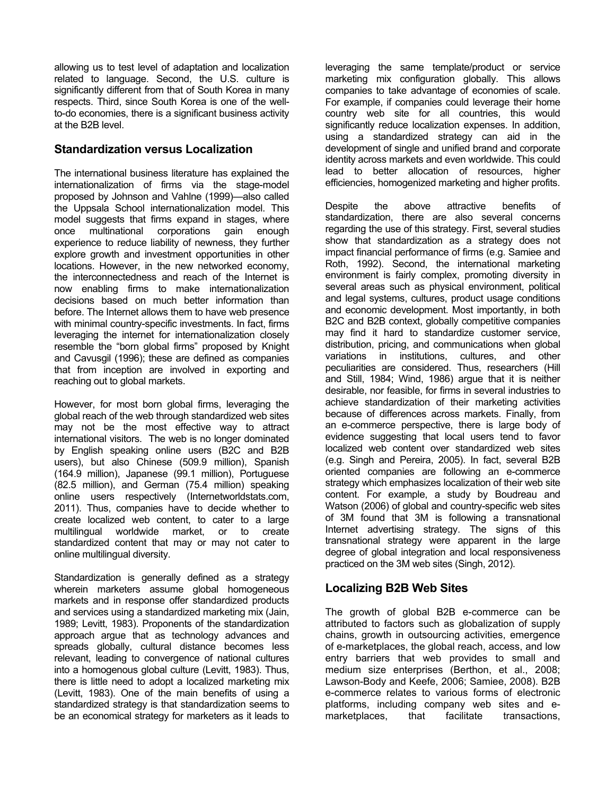allowing us to test level of adaptation and localization related to language. Second, the U.S. culture is significantly different from that of South Korea in many respects. Third, since South Korea is one of the wellto-do economies, there is a significant business activity at the B2B level.

# **Standardization versus Localization**

The international business literature has explained the internationalization of firms via the stage-model proposed by Johnson and Vahlne (1999)—also called the Uppsala School internationalization model. This model suggests that firms expand in stages, where once multinational corporations gain enough experience to reduce liability of newness, they further explore growth and investment opportunities in other locations. However, in the new networked economy, the interconnectedness and reach of the Internet is now enabling firms to make internationalization decisions based on much better information than before. The Internet allows them to have web presence with minimal country-specific investments. In fact, firms leveraging the internet for internationalization closely resemble the "born global firms" proposed by Knight and Cavusgil (1996); these are defined as companies that from inception are involved in exporting and reaching out to global markets.

However, for most born global firms, leveraging the global reach of the web through standardized web sites may not be the most effective way to attract international visitors. The web is no longer dominated by English speaking online users (B2C and B2B users), but also Chinese (509.9 million), Spanish (164.9 million), Japanese (99.1 million), Portuguese (82.5 million), and German (75.4 million) speaking online users respectively (Internetworldstats.com, 2011). Thus, companies have to decide whether to create localized web content, to cater to a large multilingual worldwide market, or to create standardized content that may or may not cater to online multilingual diversity.

Standardization is generally defined as a strategy wherein marketers assume global homogeneous markets and in response offer standardized products and services using a standardized marketing mix (Jain, 1989; Levitt, 1983). Proponents of the standardization approach argue that as technology advances and spreads globally, cultural distance becomes less relevant, leading to convergence of national cultures into a homogenous global culture (Levitt, 1983). Thus, there is little need to adopt a localized marketing mix (Levitt, 1983). One of the main benefits of using a standardized strategy is that standardization seems to be an economical strategy for marketers as it leads to

leveraging the same template/product or service marketing mix configuration globally. This allows companies to take advantage of economies of scale. For example, if companies could leverage their home country web site for all countries, this would significantly reduce localization expenses. In addition, using a standardized strategy can aid in the development of single and unified brand and corporate identity across markets and even worldwide. This could lead to better allocation of resources, higher efficiencies, homogenized marketing and higher profits.

Despite the above attractive benefits of standardization, there are also several concerns regarding the use of this strategy. First, several studies show that standardization as a strategy does not impact financial performance of firms (e.g. Samiee and Roth, 1992). Second, the international marketing environment is fairly complex, promoting diversity in several areas such as physical environment, political and legal systems, cultures, product usage conditions and economic development. Most importantly, in both B2C and B2B context, globally competitive companies may find it hard to standardize customer service, distribution, pricing, and communications when global variations in institutions, cultures, and other peculiarities are considered. Thus, researchers (Hill and Still, 1984; Wind, 1986) argue that it is neither desirable, nor feasible, for firms in several industries to achieve standardization of their marketing activities because of differences across markets. Finally, from an e-commerce perspective, there is large body of evidence suggesting that local users tend to favor localized web content over standardized web sites (e.g. Singh and Pereira, 2005). In fact, several B2B oriented companies are following an e-commerce strategy which emphasizes localization of their web site content. For example, a study by Boudreau and Watson (2006) of global and country-specific web sites of 3M found that 3M is following a transnational Internet advertising strategy. The signs of this transnational strategy were apparent in the large degree of global integration and local responsiveness practiced on the 3M web sites (Singh, 2012).

# **Localizing B2B Web Sites**

The growth of global B2B e-commerce can be attributed to factors such as globalization of supply chains, growth in outsourcing activities, emergence of e-marketplaces, the global reach, access, and low entry barriers that web provides to small and medium size enterprises (Berthon, et al., 2008; Lawson-Body and Keefe, 2006; Samiee, 2008). B2B e-commerce relates to various forms of electronic platforms, including company web sites and emarketplaces, that facilitate transactions,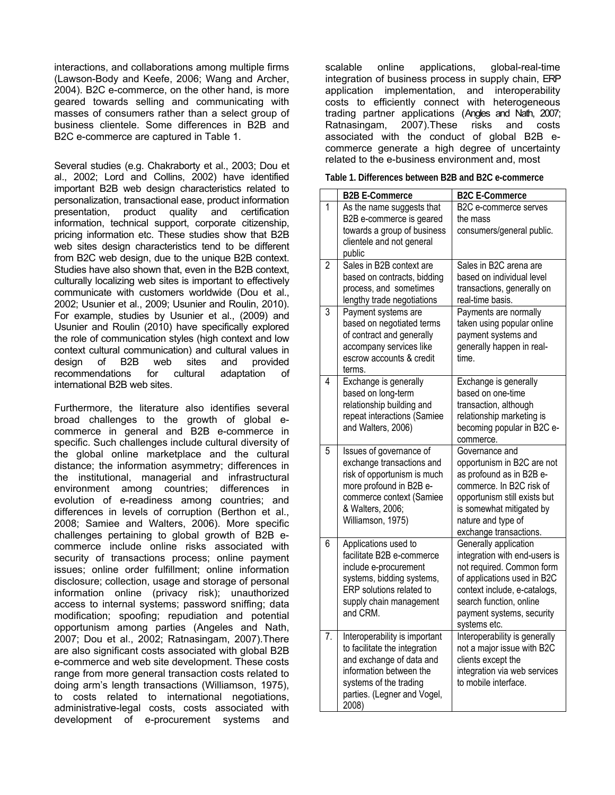interactions, and collaborations among multiple firms (Lawson-Body and Keefe, 2006; Wang and Archer, 2004). B2C e-commerce, on the other hand, is more geared towards selling and communicating with masses of consumers rather than a select group of business clientele. Some differences in B2B and B2C e-commerce are captured in Table 1.

Several studies (e.g. Chakraborty et al., 2003; Dou et al., 2002; Lord and Collins, 2002) have identified important B2B web design characteristics related to personalization, transactional ease, product information presentation, product quality and certification information, technical support, corporate citizenship, pricing information etc. These studies show that B2B web sites design characteristics tend to be different from B2C web design, due to the unique B2B context. Studies have also shown that, even in the B2B context, culturally localizing web sites is important to effectively communicate with customers worldwide (Dou et al., 2002; Usunier et al., 2009; Usunier and Roulin, 2010). For example, studies by Usunier et al., (2009) and Usunier and Roulin (2010) have specifically explored the role of communication styles (high context and low context cultural communication) and cultural values in design of B2B web sites and provided recommendations for cultural adaptation of international B2B web sites.

Furthermore, the literature also identifies several broad challenges to the growth of global ecommerce in general and B2B e-commerce in specific. Such challenges include cultural diversity of the global online marketplace and the cultural distance; the information asymmetry; differences in the institutional, managerial and infrastructural environment among countries; differences in evolution of e-readiness among countries; and differences in levels of corruption (Berthon et al., 2008; Samiee and Walters, 2006). More specific challenges pertaining to global growth of B2B ecommerce include online risks associated with security of transactions process; online payment issues; online order fulfillment; online information disclosure; collection, usage and storage of personal information online (privacy risk); unauthorized access to internal systems; password sniffing; data modification; spoofing; repudiation and potential opportunism among parties (Angeles and Nath, 2007; Dou et al., 2002; Ratnasingam, 2007).There are also significant costs associated with global B2B e-commerce and web site development. These costs range from more general transaction costs related to doing arm's length transactions (Williamson, 1975), to costs related to international negotiations, administrative-legal costs, costs associated with development of e-procurement systems and

scalable online applications, global-real-time integration of business process in supply chain, ERP application implementation, and interoperability costs to efficiently connect with heterogeneous trading partner applications (Angles and Nath, 2007; Ratnasingam, 2007).These risks and costs associated with the conduct of global B2B ecommerce generate a high degree of uncertainty related to the e-business environment and, most

**Table 1. Differences between B2B and B2C e-commerce**

| 1              | <b>B2B E-Commerce</b><br>As the name suggests that                                                                                                                                      | <b>B2C E-Commerce</b><br>B2C e-commerce serves                                                                                                                                                                             |
|----------------|-----------------------------------------------------------------------------------------------------------------------------------------------------------------------------------------|----------------------------------------------------------------------------------------------------------------------------------------------------------------------------------------------------------------------------|
|                | B2B e-commerce is geared<br>towards a group of business<br>clientele and not general<br>public                                                                                          | the mass<br>consumers/general public.                                                                                                                                                                                      |
| $\overline{2}$ | Sales in B2B context are<br>based on contracts, bidding<br>process, and sometimes<br>lengthy trade negotiations                                                                         | Sales in B2C arena are<br>based on individual level<br>transactions, generally on<br>real-time basis.                                                                                                                      |
| 3              | Payment systems are<br>based on negotiated terms<br>of contract and generally<br>accompany services like<br>escrow accounts & credit<br>terms.                                          | Payments are normally<br>taken using popular online<br>payment systems and<br>generally happen in real-<br>time.                                                                                                           |
| 4              | Exchange is generally<br>based on long-term<br>relationship building and<br>repeat interactions (Samiee<br>and Walters, 2006)                                                           | Exchange is generally<br>based on one-time<br>transaction, although<br>relationship marketing is<br>becoming popular in B2C e-<br>commerce.                                                                                |
| 5              | Issues of governance of<br>exchange transactions and<br>risk of opportunism is much<br>more profound in B2B e-<br>commerce context (Samiee<br>& Walters, 2006;<br>Williamson, 1975)     | Governance and<br>opportunism in B2C are not<br>as profound as in B2B e-<br>commerce. In B2C risk of<br>opportunism still exists but<br>is somewhat mitigated by<br>nature and type of<br>exchange transactions.           |
| 6              | Applications used to<br>facilitate B2B e-commerce<br>include e-procurement<br>systems, bidding systems,<br>ERP solutions related to<br>supply chain management<br>and CRM.              | Generally application<br>integration with end-users is<br>not required. Common form<br>of applications used in B2C<br>context include, e-catalogs,<br>search function, online<br>payment systems, security<br>systems etc. |
| 7.             | Interoperability is important<br>to facilitate the integration<br>and exchange of data and<br>information between the<br>systems of the trading<br>parties. (Legner and Vogel,<br>2008) | Interoperability is generally<br>not a major issue with B2C<br>clients except the<br>integration via web services<br>to mobile interface.                                                                                  |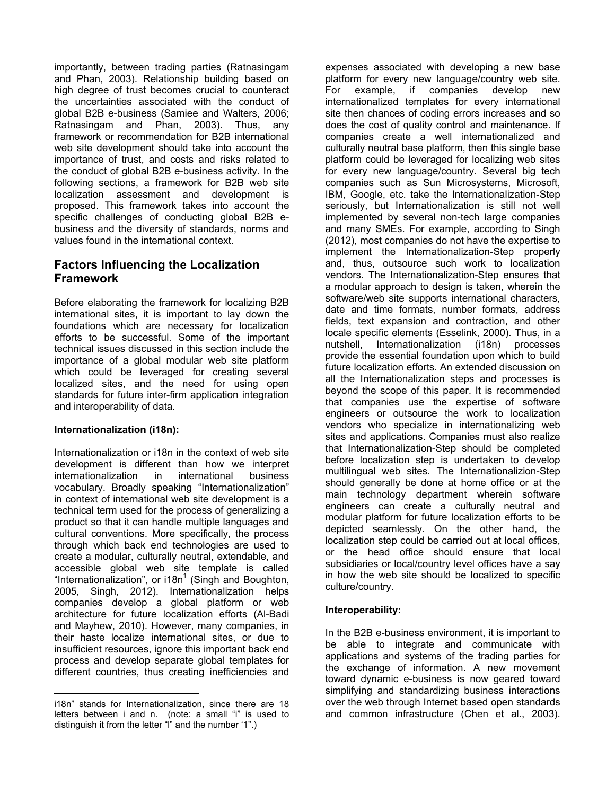importantly, between trading parties (Ratnasingam and Phan, 2003). Relationship building based on high degree of trust becomes crucial to counteract the uncertainties associated with the conduct of global B2B e-business (Samiee and Walters, 2006; Ratnasingam and Phan, 2003). Thus, any framework or recommendation for B2B international web site development should take into account the importance of trust, and costs and risks related to the conduct of global B2B e-business activity. In the following sections, a framework for B2B web site localization assessment and development is proposed. This framework takes into account the specific challenges of conducting global B2B ebusiness and the diversity of standards, norms and values found in the international context.

# **Factors Influencing the Localization Framework**

Before elaborating the framework for localizing B2B international sites, it is important to lay down the foundations which are necessary for localization efforts to be successful. Some of the important technical issues discussed in this section include the importance of a global modular web site platform which could be leveraged for creating several localized sites, and the need for using open standards for future inter-firm application integration and interoperability of data.

#### **Internationalization (i18n):**

Internationalization or i18n in the context of web site development is different than how we interpret internationalization in international business vocabulary. Broadly speaking "Internationalization" in context of international web site development is a technical term used for the process of generalizing a product so that it can handle multiple languages and cultural conventions. More specifically, the process through which back end technologies are used to create a modular, culturally neutral, extendable, and accessible global web site template is called "Internationalization", or i18n<sup>1</sup> (Singh and Boughton, 2005, Singh, 2012). Internationalization helps companies develop a global platform or web architecture for future localization efforts (Al-Badi and Mayhew, 2010). However, many companies, in their haste localize international sites, or due to insufficient resources, ignore this important back end process and develop separate global templates for different countries, thus creating inefficiencies and

expenses associated with developing a new base platform for every new language/country web site. For example, if companies develop new internationalized templates for every international site then chances of coding errors increases and so does the cost of quality control and maintenance. If companies create a well internationalized and culturally neutral base platform, then this single base platform could be leveraged for localizing web sites for every new language/country. Several big tech companies such as Sun Microsystems, Microsoft, IBM, Google, etc. take the Internationalization-Step seriously, but Internationalization is still not well implemented by several non-tech large companies and many SMEs. For example, according to Singh (2012), most companies do not have the expertise to implement the Internationalization-Step properly and, thus, outsource such work to localization vendors. The Internationalization-Step ensures that a modular approach to design is taken, wherein the software/web site supports international characters, date and time formats, number formats, address fields, text expansion and contraction, and other locale specific elements (Esselink, 2000). Thus, in a nutshell, Internationalization (i18n) processes provide the essential foundation upon which to build future localization efforts. An extended discussion on all the Internationalization steps and processes is beyond the scope of this paper. It is recommended that companies use the expertise of software engineers or outsource the work to localization vendors who specialize in internationalizing web sites and applications. Companies must also realize that Internationalization-Step should be completed before localization step is undertaken to develop multilingual web sites. The Internationalizion-Step should generally be done at home office or at the main technology department wherein software engineers can create a culturally neutral and modular platform for future localization efforts to be depicted seamlessly. On the other hand, the localization step could be carried out at local offices, or the head office should ensure that local subsidiaries or local/country level offices have a say in how the web site should be localized to specific culture/country.

#### **Interoperability:**

In the B2B e-business environment, it is important to be able to integrate and communicate with applications and systems of the trading parties for the exchange of information. A new movement toward dynamic e-business is now geared toward simplifying and standardizing business interactions over the web through Internet based open standards and common infrastructure (Chen et al., 2003).

 $\overline{a}$ i18n" stands for Internationalization, since there are 18 letters between i and n. (note: a small "i" is used to distinguish it from the letter "l" and the number '1".)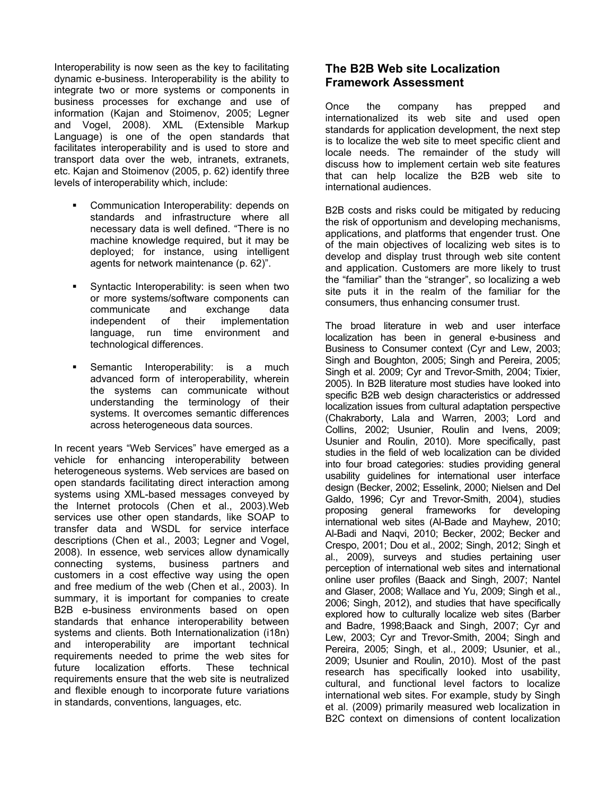Interoperability is now seen as the key to facilitating dynamic e-business. Interoperability is the ability to integrate two or more systems or components in business processes for exchange and use of information (Kajan and Stoimenov, 2005; Legner and Vogel, 2008). XML (Extensible Markup Language) is one of the open standards that facilitates interoperability and is used to store and transport data over the web, intranets, extranets, etc. Kajan and Stoimenov (2005, p. 62) identify three levels of interoperability which, include:

- Communication Interoperability: depends on standards and infrastructure where all necessary data is well defined. "There is no machine knowledge required, but it may be deployed; for instance, using intelligent agents for network maintenance (p. 62)".
- Syntactic Interoperability: is seen when two or more systems/software components can communicate and exchange data independent of their implementation language, run time environment and technological differences.
- **Semantic Interoperability: is a much** advanced form of interoperability, wherein the systems can communicate without understanding the terminology of their systems. It overcomes semantic differences across heterogeneous data sources.

In recent years "Web Services" have emerged as a vehicle for enhancing interoperability between heterogeneous systems. Web services are based on open standards facilitating direct interaction among systems using XML-based messages conveyed by the Internet protocols (Chen et al., 2003).Web services use other open standards, like SOAP to transfer data and WSDL for service interface descriptions (Chen et al., 2003; Legner and Vogel, 2008). In essence, web services allow dynamically connecting systems, business partners and customers in a cost effective way using the open and free medium of the web (Chen et al., 2003). In summary, it is important for companies to create B2B e-business environments based on open standards that enhance interoperability between systems and clients. Both Internationalization (i18n) and interoperability are important technical requirements needed to prime the web sites for future localization efforts. These technical requirements ensure that the web site is neutralized and flexible enough to incorporate future variations in standards, conventions, languages, etc.

# **The B2B Web site Localization Framework Assessment**

Once the company has prepped and internationalized its web site and used open standards for application development, the next step is to localize the web site to meet specific client and locale needs. The remainder of the study will discuss how to implement certain web site features that can help localize the B2B web site to international audiences.

B2B costs and risks could be mitigated by reducing the risk of opportunism and developing mechanisms, applications, and platforms that engender trust. One of the main objectives of localizing web sites is to develop and display trust through web site content and application. Customers are more likely to trust the "familiar" than the "stranger", so localizing a web site puts it in the realm of the familiar for the consumers, thus enhancing consumer trust.

The broad literature in web and user interface localization has been in general e-business and Business to Consumer context (Cyr and Lew, 2003; Singh and Boughton, 2005; Singh and Pereira, 2005; Singh et al. 2009; Cyr and Trevor-Smith, 2004; Tixier, 2005). In B2B literature most studies have looked into specific B2B web design characteristics or addressed localization issues from cultural adaptation perspective (Chakraborty, Lala and Warren, 2003; Lord and Collins, 2002; Usunier, Roulin and Ivens, 2009; Usunier and Roulin, 2010). More specifically, past studies in the field of web localization can be divided into four broad categories: studies providing general usability guidelines for international user interface design (Becker, 2002; Esselink, 2000; Nielsen and Del Galdo, 1996; Cyr and Trevor-Smith, 2004), studies proposing general frameworks for developing international web sites (Al-Bade and Mayhew, 2010; Al-Badi and Naqvi, 2010; Becker, 2002; Becker and Crespo, 2001; Dou et al., 2002; Singh, 2012; Singh et al., 2009), surveys and studies pertaining user perception of international web sites and international online user profiles (Baack and Singh, 2007; Nantel and Glaser, 2008; Wallace and Yu, 2009; Singh et al., 2006; Singh, 2012), and studies that have specifically explored how to culturally localize web sites (Barber and Badre, 1998;Baack and Singh, 2007; Cyr and Lew, 2003; Cyr and Trevor-Smith, 2004; Singh and Pereira, 2005; Singh, et al., 2009; Usunier, et al., 2009; Usunier and Roulin, 2010). Most of the past research has specifically looked into usability, cultural, and functional level factors to localize international web sites. For example, study by Singh et al. (2009) primarily measured web localization in B2C context on dimensions of content localization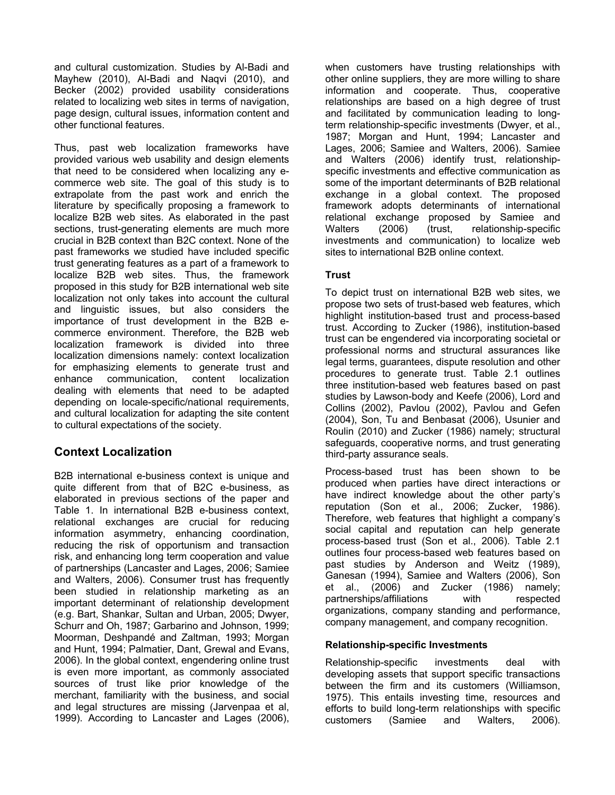and cultural customization. Studies by Al-Badi and Mayhew (2010), Al-Badi and Naqvi (2010), and Becker (2002) provided usability considerations related to localizing web sites in terms of navigation, page design, cultural issues, information content and other functional features.

Thus, past web localization frameworks have provided various web usability and design elements that need to be considered when localizing any ecommerce web site. The goal of this study is to extrapolate from the past work and enrich the literature by specifically proposing a framework to localize B2B web sites. As elaborated in the past sections, trust-generating elements are much more crucial in B2B context than B2C context. None of the past frameworks we studied have included specific trust generating features as a part of a framework to localize B2B web sites. Thus, the framework proposed in this study for B2B international web site localization not only takes into account the cultural and linguistic issues, but also considers the importance of trust development in the B2B ecommerce environment. Therefore, the B2B web localization framework is divided into three localization dimensions namely: context localization for emphasizing elements to generate trust and enhance communication, content localization dealing with elements that need to be adapted depending on locale-specific/national requirements, and cultural localization for adapting the site content to cultural expectations of the society.

# **Context Localization**

B2B international e-business context is unique and quite different from that of B2C e-business, as elaborated in previous sections of the paper and Table 1. In international B2B e-business context, relational exchanges are crucial for reducing information asymmetry, enhancing coordination, reducing the risk of opportunism and transaction risk, and enhancing long term cooperation and value of partnerships (Lancaster and Lages, 2006; Samiee and Walters, 2006). Consumer trust has frequently been studied in relationship marketing as an important determinant of relationship development (e.g. Bart, Shankar, Sultan and Urban, 2005; Dwyer, Schurr and Oh, 1987; Garbarino and Johnson, 1999; Moorman, Deshpandé and Zaltman, 1993; Morgan and Hunt, 1994; Palmatier, Dant, Grewal and Evans, 2006). In the global context, engendering online trust is even more important, as commonly associated sources of trust like prior knowledge of the merchant, familiarity with the business, and social and legal structures are missing (Jarvenpaa et al, 1999). According to Lancaster and Lages (2006),

when customers have trusting relationships with other online suppliers, they are more willing to share information and cooperate. Thus, cooperative relationships are based on a high degree of trust and facilitated by communication leading to longterm relationship-specific investments (Dwyer, et al., 1987; Morgan and Hunt, 1994; Lancaster and Lages, 2006; Samiee and Walters, 2006). Samiee and Walters (2006) identify trust, relationshipspecific investments and effective communication as some of the important determinants of B2B relational exchange in a global context. The proposed framework adopts determinants of international relational exchange proposed by Samiee and Walters (2006) (trust, relationship-specific investments and communication) to localize web sites to international B2B online context.

#### **Trust**

To depict trust on international B2B web sites, we propose two sets of trust-based web features, which highlight institution-based trust and process-based trust. According to Zucker (1986), institution-based trust can be engendered via incorporating societal or professional norms and structural assurances like legal terms, guarantees, dispute resolution and other procedures to generate trust. Table 2.1 outlines three institution-based web features based on past studies by Lawson-body and Keefe (2006), Lord and Collins (2002), Pavlou (2002), Pavlou and Gefen (2004), Son, Tu and Benbasat (2006), Usunier and Roulin (2010) and Zucker (1986) namely; structural safeguards, cooperative norms, and trust generating third-party assurance seals.

Process-based trust has been shown to be produced when parties have direct interactions or have indirect knowledge about the other party's reputation (Son et al., 2006; Zucker, 1986). Therefore, web features that highlight a company's social capital and reputation can help generate process-based trust (Son et al., 2006). Table 2.1 outlines four process-based web features based on past studies by Anderson and Weitz (1989), Ganesan (1994), Samiee and Walters (2006), Son et al., (2006) and Zucker (1986) namely; partnerships/affiliations with respected organizations, company standing and performance, company management, and company recognition.

#### **Relationship-specific Investments**

Relationship-specific investments deal with developing assets that support specific transactions between the firm and its customers (Williamson, 1975). This entails investing time, resources and efforts to build long-term relationships with specific customers (Samiee and Walters, 2006).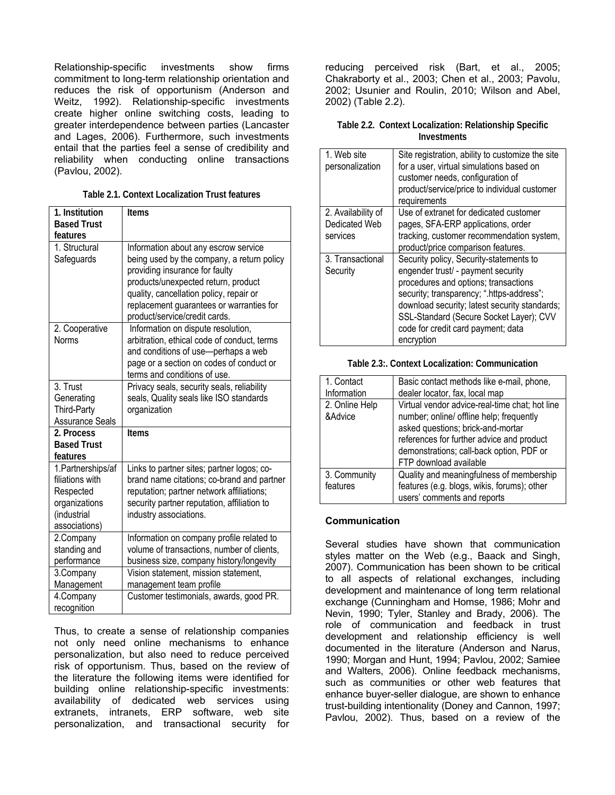Relationship-specific investments show firms commitment to long-term relationship orientation and reduces the risk of opportunism (Anderson and Weitz, 1992). Relationship-specific investments create higher online switching costs, leading to greater interdependence between parties (Lancaster and Lages, 2006). Furthermore, such investments entail that the parties feel a sense of credibility and reliability when conducting online transactions (Pavlou, 2002).

| 1. Institution<br><b>Based Trust</b><br>features                                                    | <b>Items</b>                                                                                                                                                                                                                                                                        |
|-----------------------------------------------------------------------------------------------------|-------------------------------------------------------------------------------------------------------------------------------------------------------------------------------------------------------------------------------------------------------------------------------------|
| 1. Structural<br>Safeguards                                                                         | Information about any escrow service<br>being used by the company, a return policy<br>providing insurance for faulty<br>products/unexpected return, product<br>quality, cancellation policy, repair or<br>replacement guarantees or warranties for<br>product/service/credit cards. |
| 2. Cooperative<br><b>Norms</b>                                                                      | Information on dispute resolution,<br>arbitration, ethical code of conduct, terms<br>and conditions of use-perhaps a web<br>page or a section on codes of conduct or<br>terms and conditions of use.                                                                                |
| 3. Trust<br>Generating<br>Third-Party<br><b>Assurance Seals</b>                                     | Privacy seals, security seals, reliability<br>seals, Quality seals like ISO standards<br>organization                                                                                                                                                                               |
| 2. Process<br><b>Based Trust</b><br>features                                                        | <b>Items</b>                                                                                                                                                                                                                                                                        |
| 1. Partnerships/af<br>filiations with<br>Respected<br>organizations<br>(industrial<br>associations) | Links to partner sites; partner logos; co-<br>brand name citations; co-brand and partner<br>reputation; partner network affiliations;<br>security partner reputation, affiliation to<br>industry associations.                                                                      |
| 2.Company<br>standing and<br>performance<br>3.Company                                               | Information on company profile related to<br>volume of transactions, number of clients,<br>business size, company history/longevity<br>Vision statement, mission statement,                                                                                                         |
| Management<br>4.Company                                                                             | management team profile<br>Customer testimonials, awards, good PR.                                                                                                                                                                                                                  |
| recognition                                                                                         |                                                                                                                                                                                                                                                                                     |

**Table 2.1. Context Localization Trust features** 

Thus, to create a sense of relationship companies not only need online mechanisms to enhance personalization, but also need to reduce perceived risk of opportunism. Thus, based on the review of the literature the following items were identified for building online relationship-specific investments: availability of dedicated web services using extranets, intranets, ERP software, web site personalization, and transactional security for

reducing perceived risk (Bart, et al., 2005; Chakraborty et al., 2003; Chen et al., 2003; Pavolu, 2002; Usunier and Roulin, 2010; Wilson and Abel, 2002) (Table 2.2).

**Table 2.2. Context Localization: Relationship Specific Investments** 

| 1. Web site<br>personalization                  | Site registration, ability to customize the site<br>for a user, virtual simulations based on<br>customer needs, configuration of<br>product/service/price to individual customer<br>requirements                                                                                                                   |
|-------------------------------------------------|--------------------------------------------------------------------------------------------------------------------------------------------------------------------------------------------------------------------------------------------------------------------------------------------------------------------|
| 2. Availability of<br>Dedicated Web<br>services | Use of extranet for dedicated customer<br>pages, SFA-ERP applications, order<br>tracking, customer recommendation system,<br>product/price comparison features.                                                                                                                                                    |
| 3. Transactional<br>Security                    | Security policy, Security-statements to<br>engender trust/ - payment security<br>procedures and options; transactions<br>security; transparency; ".https-address";<br>download security; latest security standards;<br>SSL-Standard (Secure Socket Layer); CVV<br>code for credit card payment; data<br>encryption |

**Table 2.3:. Context Localization: Communication** 

| 1. Contact     | Basic contact methods like e-mail, phone,      |  |  |
|----------------|------------------------------------------------|--|--|
| Information    | dealer locator, fax, local map                 |  |  |
| 2. Online Help | Virtual vendor advice-real-time chat; hot line |  |  |
| &Advice        | number; online/ offline help; frequently       |  |  |
|                | asked questions; brick-and-mortar              |  |  |
|                | references for further advice and product      |  |  |
|                | demonstrations; call-back option, PDF or       |  |  |
|                | FTP download available                         |  |  |
| 3. Community   | Quality and meaningfulness of membership       |  |  |
| features       | features (e.g. blogs, wikis, forums); other    |  |  |
|                | users' comments and reports                    |  |  |

#### **Communication**

Several studies have shown that communication styles matter on the Web (e.g., Baack and Singh, 2007). Communication has been shown to be critical to all aspects of relational exchanges, including development and maintenance of long term relational exchange (Cunningham and Homse, 1986; Mohr and Nevin, 1990; Tyler, Stanley and Brady, 2006). The role of communication and feedback in trust development and relationship efficiency is well documented in the literature (Anderson and Narus, 1990; Morgan and Hunt, 1994; Pavlou, 2002; Samiee and Walters, 2006). Online feedback mechanisms, such as communities or other web features that enhance buyer-seller dialogue, are shown to enhance trust-building intentionality (Doney and Cannon, 1997; Pavlou, 2002). Thus, based on a review of the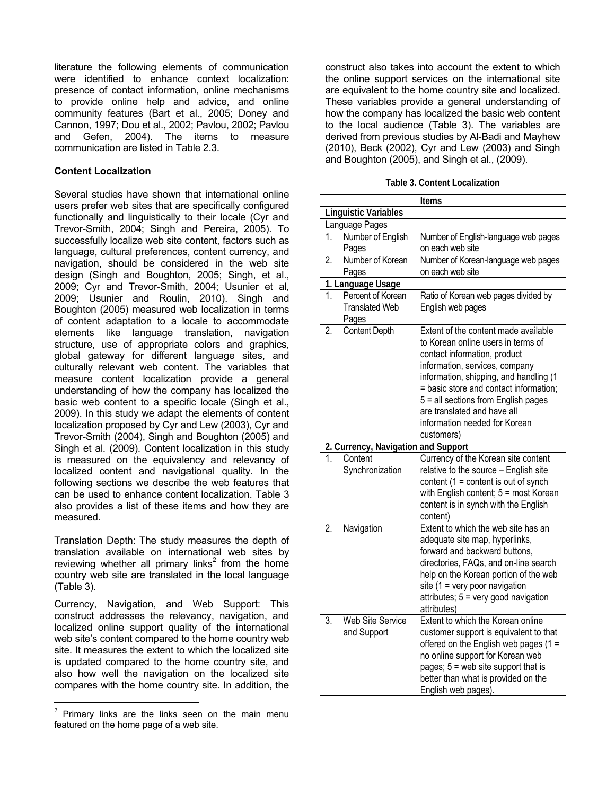literature the following elements of communication were identified to enhance context localization: presence of contact information, online mechanisms to provide online help and advice, and online community features (Bart et al., 2005; Doney and Cannon, 1997; Dou et al., 2002; Pavlou, 2002; Pavlou and Gefen, 2004). The items to measure communication are listed in Table 2.3.

#### **Content Localization**

Several studies have shown that international online users prefer web sites that are specifically configured functionally and linguistically to their locale (Cyr and Trevor-Smith, 2004; Singh and Pereira, 2005). To successfully localize web site content, factors such as language, cultural preferences, content currency, and navigation, should be considered in the web site design (Singh and Boughton, 2005; Singh, et al., 2009; Cyr and Trevor-Smith, 2004; Usunier et al, 2009; Usunier and Roulin, 2010). Singh and Boughton (2005) measured web localization in terms of content adaptation to a locale to accommodate elements like language translation, navigation structure, use of appropriate colors and graphics, global gateway for different language sites, and culturally relevant web content. The variables that measure content localization provide a general understanding of how the company has localized the basic web content to a specific locale (Singh et al., 2009). In this study we adapt the elements of content localization proposed by Cyr and Lew (2003), Cyr and Trevor-Smith (2004), Singh and Boughton (2005) and Singh et al. (2009). Content localization in this study is measured on the equivalency and relevancy of localized content and navigational quality. In the following sections we describe the web features that can be used to enhance content localization. Table 3 also provides a list of these items and how they are measured.

Translation Depth: The study measures the depth of translation available on international web sites by reviewing whether all primary links<sup>2</sup> from the home country web site are translated in the local language (Table 3).

Currency, Navigation, and Web Support: This construct addresses the relevancy, navigation, and localized online support quality of the international web site's content compared to the home country web site. It measures the extent to which the localized site is updated compared to the home country site, and also how well the navigation on the localized site compares with the home country site. In addition, the

 $\overline{a}$ 

construct also takes into account the extent to which the online support services on the international site are equivalent to the home country site and localized. These variables provide a general understanding of how the company has localized the basic web content to the local audience (Table 3). The variables are derived from previous studies by Al-Badi and Mayhew (2010), Beck (2002), Cyr and Lew (2003) and Singh and Boughton (2005), and Singh et al., (2009).

|                                     | Items                                                           |  |  |  |
|-------------------------------------|-----------------------------------------------------------------|--|--|--|
| <b>Linguistic Variables</b>         |                                                                 |  |  |  |
| Language Pages                      |                                                                 |  |  |  |
| Number of English<br>1.             | Number of English-language web pages                            |  |  |  |
| Pages                               | on each web site                                                |  |  |  |
| Number of Korean<br>2.              | Number of Korean-language web pages                             |  |  |  |
| Pages                               | on each web site                                                |  |  |  |
| 1. Language Usage                   |                                                                 |  |  |  |
| Percent of Korean<br>1.             | Ratio of Korean web pages divided by                            |  |  |  |
| <b>Translated Web</b>               | English web pages                                               |  |  |  |
| Pages<br><b>Content Depth</b><br>2. | Extent of the content made available                            |  |  |  |
|                                     | to Korean online users in terms of                              |  |  |  |
|                                     | contact information, product                                    |  |  |  |
|                                     | information, services, company                                  |  |  |  |
|                                     | information, shipping, and handling (1                          |  |  |  |
|                                     | = basic store and contact information;                          |  |  |  |
|                                     | 5 = all sections from English pages                             |  |  |  |
|                                     | are translated and have all                                     |  |  |  |
|                                     | information needed for Korean                                   |  |  |  |
|                                     | customers)                                                      |  |  |  |
| 2. Currency, Navigation and Support |                                                                 |  |  |  |
| 1.<br>Content                       | Currency of the Korean site content                             |  |  |  |
| Synchronization                     | relative to the source - English site                           |  |  |  |
|                                     | content $(1 = \text{content}$ is out of synch                   |  |  |  |
|                                     | with English content; 5 = most Korean                           |  |  |  |
|                                     | content is in synch with the English                            |  |  |  |
|                                     | content)                                                        |  |  |  |
| Navigation<br>2.                    | Extent to which the web site has an                             |  |  |  |
|                                     | adequate site map, hyperlinks,<br>forward and backward buttons. |  |  |  |
|                                     | directories, FAQs, and on-line search                           |  |  |  |
|                                     | help on the Korean portion of the web                           |  |  |  |
|                                     | site $(1 = \text{very poor navigation})$                        |  |  |  |
|                                     | attributes; $5 = \text{very good navigation}$                   |  |  |  |
|                                     | attributes)                                                     |  |  |  |
| 3.<br>Web Site Service              | Extent to which the Korean online                               |  |  |  |
| and Support                         | customer support is equivalent to that                          |  |  |  |
|                                     | offered on the English web pages (1 =                           |  |  |  |
|                                     | no online support for Korean web                                |  |  |  |
|                                     | pages; $5 =$ web site support that is                           |  |  |  |
|                                     | better than what is provided on the                             |  |  |  |
|                                     | English web pages).                                             |  |  |  |

 $2$  Primary links are the links seen on the main menu featured on the home page of a web site.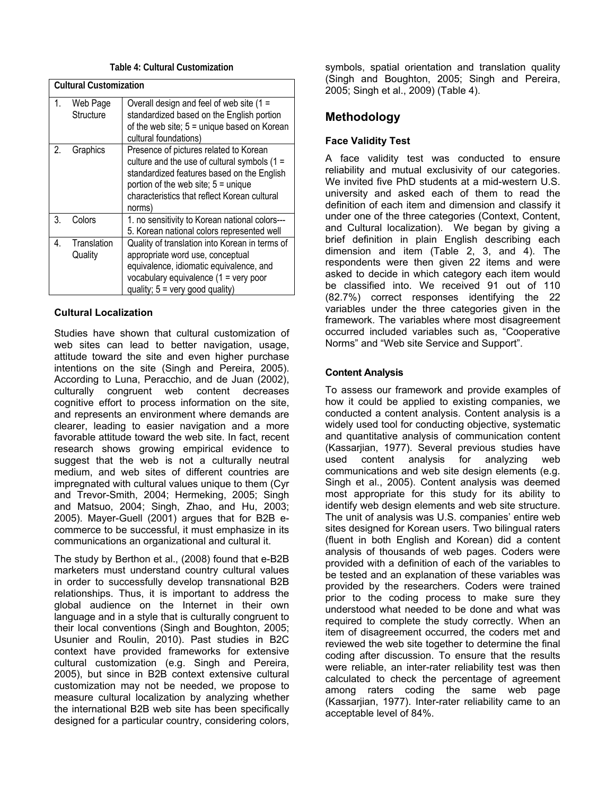#### **Table 4: Cultural Customization**

|    | <b>Cultural Customization</b> |                                                                                                                                                                                                                                           |  |  |  |
|----|-------------------------------|-------------------------------------------------------------------------------------------------------------------------------------------------------------------------------------------------------------------------------------------|--|--|--|
| 1. | Web Page<br><b>Structure</b>  | Overall design and feel of web site $(1 =$<br>standardized based on the English portion<br>of the web site; $5 =$ unique based on Korean<br>cultural foundations)                                                                         |  |  |  |
| 2. | Graphics                      | Presence of pictures related to Korean<br>culture and the use of cultural symbols $(1 =$<br>standardized features based on the English<br>portion of the web site; $5 =$ unique<br>characteristics that reflect Korean cultural<br>norms) |  |  |  |
| 3. | Colors                        | 1. no sensitivity to Korean national colors---<br>5. Korean national colors represented well                                                                                                                                              |  |  |  |
| 4. | Translation<br>Quality        | Quality of translation into Korean in terms of<br>appropriate word use, conceptual<br>equivalence, idiomatic equivalence, and<br>vocabulary equivalence (1 = very poor<br>quality; $5 = \text{very good quality}$ )                       |  |  |  |

#### **Cultural Localization**

Studies have shown that cultural customization of web sites can lead to better navigation, usage, attitude toward the site and even higher purchase intentions on the site (Singh and Pereira, 2005). According to Luna, Peracchio, and de Juan (2002), culturally congruent web content decreases cognitive effort to process information on the site, and represents an environment where demands are clearer, leading to easier navigation and a more favorable attitude toward the web site. In fact, recent research shows growing empirical evidence to suggest that the web is not a culturally neutral medium, and web sites of different countries are impregnated with cultural values unique to them (Cyr and Trevor-Smith, 2004; Hermeking, 2005; Singh and Matsuo, 2004; Singh, Zhao, and Hu, 2003; 2005). Mayer-Guell (2001) argues that for B2B ecommerce to be successful, it must emphasize in its communications an organizational and cultural it.

The study by Berthon et al., (2008) found that e-B2B marketers must understand country cultural values in order to successfully develop transnational B2B relationships. Thus, it is important to address the global audience on the Internet in their own language and in a style that is culturally congruent to their local conventions (Singh and Boughton, 2005; Usunier and Roulin, 2010). Past studies in B2C context have provided frameworks for extensive cultural customization (e.g. Singh and Pereira, 2005), but since in B2B context extensive cultural customization may not be needed, we propose to measure cultural localization by analyzing whether the international B2B web site has been specifically designed for a particular country, considering colors,

symbols, spatial orientation and translation quality (Singh and Boughton, 2005; Singh and Pereira, 2005; Singh et al., 2009) (Table 4).

# **Methodology**

#### **Face Validity Test**

A face validity test was conducted to ensure reliability and mutual exclusivity of our categories. We invited five PhD students at a mid-western U.S. university and asked each of them to read the definition of each item and dimension and classify it under one of the three categories (Context, Content, and Cultural localization). We began by giving a brief definition in plain English describing each dimension and item (Table 2, 3, and 4). The respondents were then given 22 items and were asked to decide in which category each item would be classified into. We received 91 out of 110 (82.7%) correct responses identifying the 22 variables under the three categories given in the framework. The variables where most disagreement occurred included variables such as, "Cooperative Norms" and "Web site Service and Support".

#### **Content Analysis**

To assess our framework and provide examples of how it could be applied to existing companies, we conducted a content analysis. Content analysis is a widely used tool for conducting objective, systematic and quantitative analysis of communication content (Kassarjian, 1977). Several previous studies have used content analysis for analyzing web communications and web site design elements (e.g. Singh et al., 2005). Content analysis was deemed most appropriate for this study for its ability to identify web design elements and web site structure. The unit of analysis was U.S. companies' entire web sites designed for Korean users. Two bilingual raters (fluent in both English and Korean) did a content analysis of thousands of web pages. Coders were provided with a definition of each of the variables to be tested and an explanation of these variables was provided by the researchers. Coders were trained prior to the coding process to make sure they understood what needed to be done and what was required to complete the study correctly. When an item of disagreement occurred, the coders met and reviewed the web site together to determine the final coding after discussion. To ensure that the results were reliable, an inter-rater reliability test was then calculated to check the percentage of agreement among raters coding the same web page (Kassarjian, 1977). Inter-rater reliability came to an acceptable level of 84%.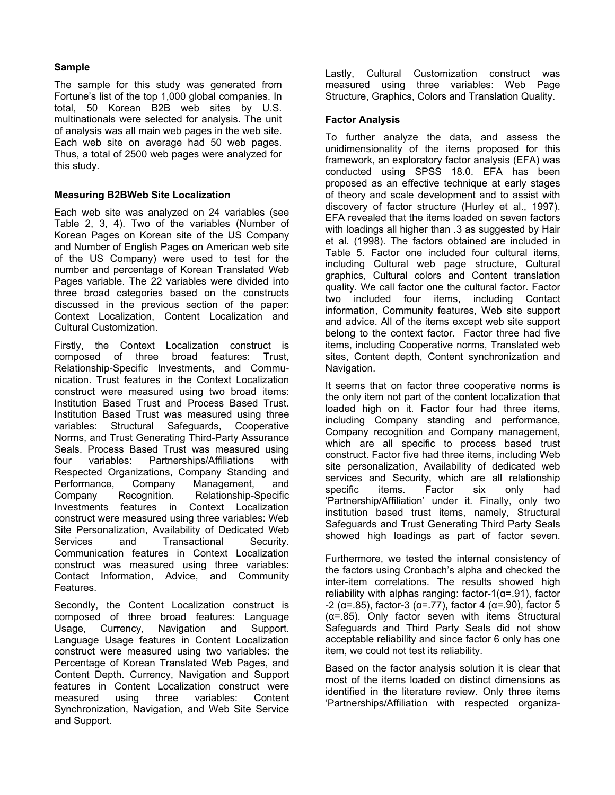#### **Sample**

The sample for this study was generated from Fortune's list of the top 1,000 global companies. In total, 50 Korean B2B web sites by U.S. multinationals were selected for analysis. The unit of analysis was all main web pages in the web site. Each web site on average had 50 web pages. Thus, a total of 2500 web pages were analyzed for this study.

#### **Measuring B2BWeb Site Localization**

Each web site was analyzed on 24 variables (see Table 2, 3, 4). Two of the variables (Number of Korean Pages on Korean site of the US Company and Number of English Pages on American web site of the US Company) were used to test for the number and percentage of Korean Translated Web Pages variable. The 22 variables were divided into three broad categories based on the constructs discussed in the previous section of the paper: Context Localization, Content Localization and Cultural Customization.

Firstly, the Context Localization construct is composed of three broad features: Trust, Relationship-Specific Investments, and Communication. Trust features in the Context Localization construct were measured using two broad items: Institution Based Trust and Process Based Trust. Institution Based Trust was measured using three variables: Structural Safeguards, Cooperative Norms, and Trust Generating Third-Party Assurance Seals. Process Based Trust was measured using four variables: Partnerships/Affiliations with Respected Organizations, Company Standing and Performance, Company Management, and Company Recognition. Relationship-Specific Investments features in Context Localization construct were measured using three variables: Web Site Personalization, Availability of Dedicated Web Services and Transactional Security. Communication features in Context Localization construct was measured using three variables: Contact Information, Advice, and Community Features.

Secondly, the Content Localization construct is composed of three broad features: Language Usage, Currency, Navigation and Support. Language Usage features in Content Localization construct were measured using two variables: the Percentage of Korean Translated Web Pages, and Content Depth. Currency, Navigation and Support features in Content Localization construct were measured using three variables: Content Synchronization, Navigation, and Web Site Service and Support.

Lastly, Cultural Customization construct was measured using three variables: Web Page Structure, Graphics, Colors and Translation Quality.

#### **Factor Analysis**

To further analyze the data, and assess the unidimensionality of the items proposed for this framework, an exploratory factor analysis (EFA) was conducted using SPSS 18.0. EFA has been proposed as an effective technique at early stages of theory and scale development and to assist with discovery of factor structure (Hurley et al., 1997). EFA revealed that the items loaded on seven factors with loadings all higher than .3 as suggested by Hair et al. (1998). The factors obtained are included in Table 5. Factor one included four cultural items, including Cultural web page structure, Cultural graphics, Cultural colors and Content translation quality. We call factor one the cultural factor. Factor two included four items, including Contact information, Community features, Web site support and advice. All of the items except web site support belong to the context factor. Factor three had five items, including Cooperative norms, Translated web sites, Content depth, Content synchronization and Navigation.

It seems that on factor three cooperative norms is the only item not part of the content localization that loaded high on it. Factor four had three items, including Company standing and performance, Company recognition and Company management, which are all specific to process based trust construct. Factor five had three items, including Web site personalization, Availability of dedicated web services and Security, which are all relationship specific items. Factor six only had 'Partnership/Affiliation' under it. Finally, only two institution based trust items, namely, Structural Safeguards and Trust Generating Third Party Seals showed high loadings as part of factor seven.

Furthermore, we tested the internal consistency of the factors using Cronbach's alpha and checked the inter-item correlations. The results showed high reliability with alphas ranging: factor-1( $\alpha$ =.91), factor -2 ( $\alpha$ =.85), factor-3 ( $\alpha$ =.77), factor 4 ( $\alpha$ =.90), factor 5  $(\alpha = .85)$ . Only factor seven with items Structural Safeguards and Third Party Seals did not show acceptable reliability and since factor 6 only has one item, we could not test its reliability.

Based on the factor analysis solution it is clear that most of the items loaded on distinct dimensions as identified in the literature review. Only three items 'Partnerships/Affiliation with respected organiza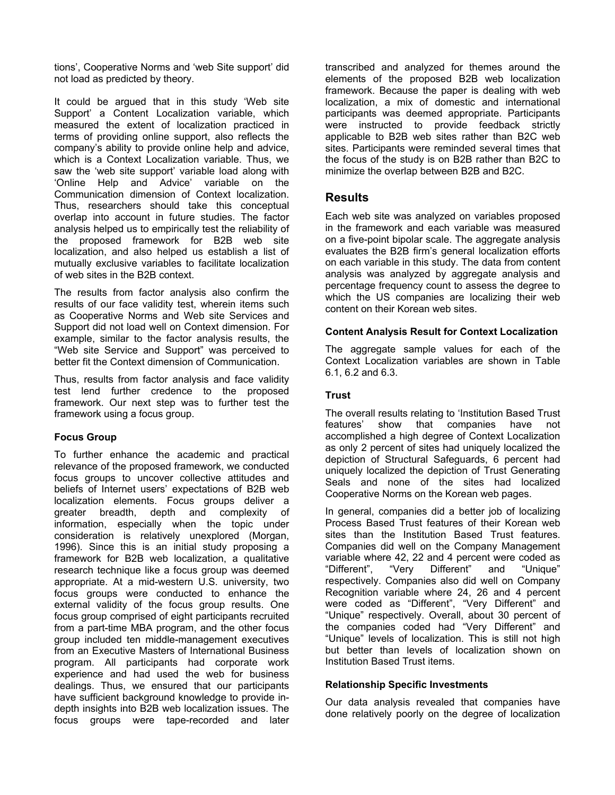tions', Cooperative Norms and 'web Site support' did not load as predicted by theory.

It could be argued that in this study 'Web site Support' a Content Localization variable, which measured the extent of localization practiced in terms of providing online support, also reflects the company's ability to provide online help and advice, which is a Context Localization variable. Thus, we saw the 'web site support' variable load along with 'Online Help and Advice' variable on the Communication dimension of Context localization. Thus, researchers should take this conceptual overlap into account in future studies. The factor analysis helped us to empirically test the reliability of the proposed framework for B2B web site localization, and also helped us establish a list of mutually exclusive variables to facilitate localization of web sites in the B2B context.

The results from factor analysis also confirm the results of our face validity test, wherein items such as Cooperative Norms and Web site Services and Support did not load well on Context dimension. For example, similar to the factor analysis results, the "Web site Service and Support" was perceived to better fit the Context dimension of Communication.

Thus, results from factor analysis and face validity test lend further credence to the proposed framework. Our next step was to further test the framework using a focus group.

#### **Focus Group**

To further enhance the academic and practical relevance of the proposed framework, we conducted focus groups to uncover collective attitudes and beliefs of Internet users' expectations of B2B web localization elements. Focus groups deliver a greater breadth, depth and complexity of information, especially when the topic under consideration is relatively unexplored (Morgan, 1996). Since this is an initial study proposing a framework for B2B web localization, a qualitative research technique like a focus group was deemed appropriate. At a mid-western U.S. university, two focus groups were conducted to enhance the external validity of the focus group results. One focus group comprised of eight participants recruited from a part-time MBA program, and the other focus group included ten middle-management executives from an Executive Masters of International Business program. All participants had corporate work experience and had used the web for business dealings. Thus, we ensured that our participants have sufficient background knowledge to provide indepth insights into B2B web localization issues. The focus groups were tape-recorded and later

transcribed and analyzed for themes around the elements of the proposed B2B web localization framework. Because the paper is dealing with web localization, a mix of domestic and international participants was deemed appropriate. Participants were instructed to provide feedback strictly applicable to B2B web sites rather than B2C web sites. Participants were reminded several times that the focus of the study is on B2B rather than B2C to minimize the overlap between B2B and B2C.

### **Results**

Each web site was analyzed on variables proposed in the framework and each variable was measured on a five-point bipolar scale. The aggregate analysis evaluates the B2B firm's general localization efforts on each variable in this study. The data from content analysis was analyzed by aggregate analysis and percentage frequency count to assess the degree to which the US companies are localizing their web content on their Korean web sites.

#### **Content Analysis Result for Context Localization**

The aggregate sample values for each of the Context Localization variables are shown in Table 6.1, 6.2 and 6.3.

#### **Trust**

The overall results relating to 'Institution Based Trust features' show that companies have not accomplished a high degree of Context Localization as only 2 percent of sites had uniquely localized the depiction of Structural Safeguards, 6 percent had uniquely localized the depiction of Trust Generating Seals and none of the sites had localized Cooperative Norms on the Korean web pages.

In general, companies did a better job of localizing Process Based Trust features of their Korean web sites than the Institution Based Trust features. Companies did well on the Company Management variable where 42, 22 and 4 percent were coded as "Different", "Very Different" and "Unique" respectively. Companies also did well on Company Recognition variable where 24, 26 and 4 percent were coded as "Different", "Very Different" and "Unique" respectively. Overall, about 30 percent of the companies coded had "Very Different" and "Unique" levels of localization. This is still not high but better than levels of localization shown on Institution Based Trust items.

#### **Relationship Specific Investments**

Our data analysis revealed that companies have done relatively poorly on the degree of localization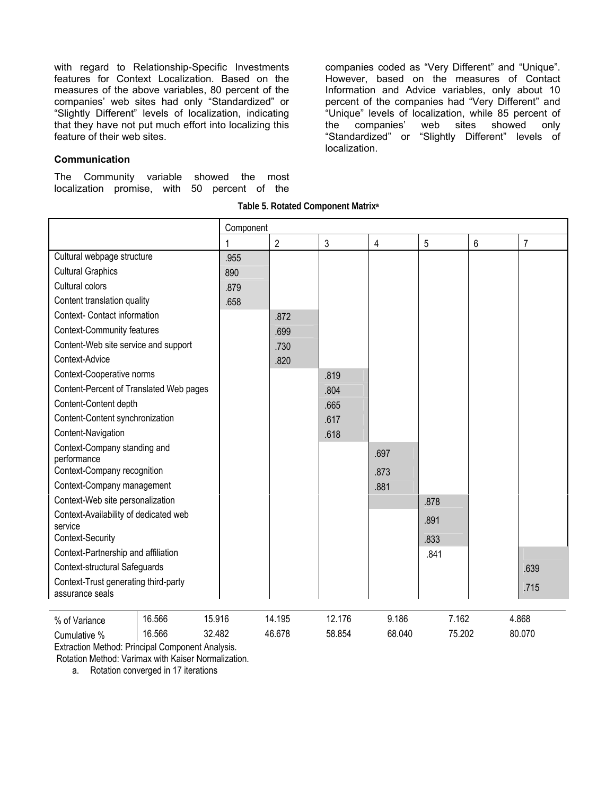with regard to Relationship-Specific Investments features for Context Localization. Based on the measures of the above variables, 80 percent of the companies' web sites had only "Standardized" or "Slightly Different" levels of localization, indicating that they have not put much effort into localizing this feature of their web sites.

companies coded as "Very Different" and "Unique". However, based on the measures of Contact Information and Advice variables, only about 10 percent of the companies had "Very Different" and "Unique" levels of localization, while 85 percent of the companies' web sites showed only "Standardized" or "Slightly Different" levels of localization.

#### **Communication**

The Community variable showed the most localization promise, with 50 percent of the

|                                                         |        | Component |                |        |        |        |   |        |
|---------------------------------------------------------|--------|-----------|----------------|--------|--------|--------|---|--------|
|                                                         |        |           | $\overline{2}$ | 3      | 4      | 5      | 6 | 7      |
| Cultural webpage structure                              |        | .955      |                |        |        |        |   |        |
| <b>Cultural Graphics</b>                                |        | 890       |                |        |        |        |   |        |
| Cultural colors                                         |        | .879      |                |        |        |        |   |        |
| Content translation quality                             |        | .658      |                |        |        |        |   |        |
| <b>Context- Contact information</b>                     |        |           | .872           |        |        |        |   |        |
| <b>Context-Community features</b>                       |        |           | .699           |        |        |        |   |        |
| Content-Web site service and support                    |        |           | .730           |        |        |        |   |        |
| Context-Advice                                          |        |           | .820           |        |        |        |   |        |
| Context-Cooperative norms                               |        |           |                | .819   |        |        |   |        |
| Content-Percent of Translated Web pages                 |        |           |                | .804   |        |        |   |        |
| Content-Content depth                                   |        |           |                | .665   |        |        |   |        |
| Content-Content synchronization                         |        |           |                | .617   |        |        |   |        |
| Content-Navigation                                      |        |           |                | .618   |        |        |   |        |
| Context-Company standing and<br>performance             |        |           |                |        | .697   |        |   |        |
| Context-Company recognition                             |        |           |                |        | .873   |        |   |        |
| Context-Company management                              |        |           |                |        | .881   |        |   |        |
| Context-Web site personalization                        |        |           |                |        |        | .878   |   |        |
| Context-Availability of dedicated web                   |        |           |                |        |        | .891   |   |        |
| service                                                 |        |           |                |        |        |        |   |        |
| <b>Context-Security</b>                                 |        |           |                |        |        | .833   |   |        |
| Context-Partnership and affiliation                     |        |           |                |        |        | .841   |   |        |
| Context-structural Safeguards                           |        |           |                |        |        |        |   | .639   |
| Context-Trust generating third-party<br>assurance seals |        |           |                |        |        |        |   | .715   |
|                                                         |        |           |                |        |        |        |   |        |
| % of Variance                                           | 16.566 | 15.916    | 14.195         | 12.176 | 9.186  | 7.162  |   | 4.868  |
| Cumulative %                                            | 16.566 | 32.482    | 46.678         | 58.854 | 68.040 | 75.202 |   | 80.070 |

**Table 5. Rotated Component Matrixa** 

Extraction Method: Principal Component Analysis. Rotation Method: Varimax with Kaiser Normalization.

a. Rotation converged in 17 iterations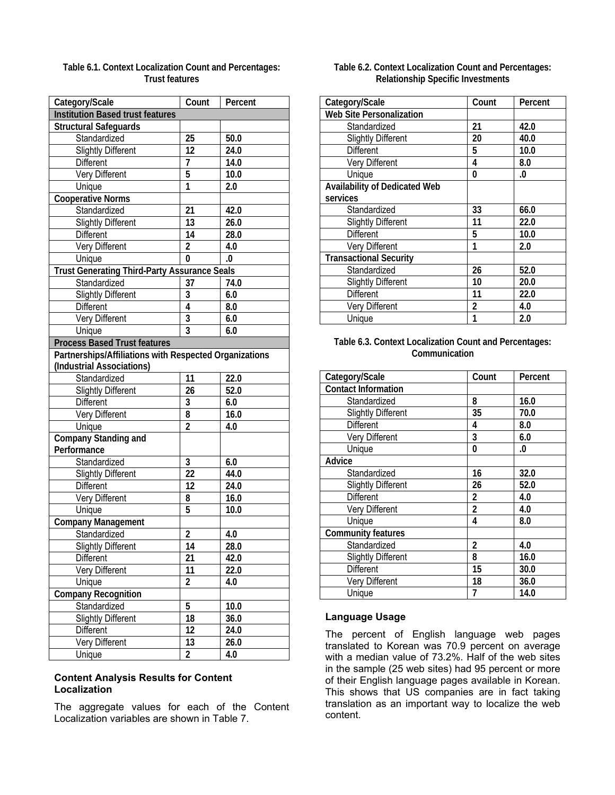| Category/Scale                                         | Count                   | Percent |  |  |  |
|--------------------------------------------------------|-------------------------|---------|--|--|--|
| <b>Institution Based trust features</b>                |                         |         |  |  |  |
| <b>Structural Safeguards</b>                           |                         |         |  |  |  |
| Standardized                                           | 25                      | 50.0    |  |  |  |
| <b>Slightly Different</b>                              | 12                      | 24.0    |  |  |  |
| Different                                              | 7                       | 14.0    |  |  |  |
| Very Different                                         | 5                       | 10.0    |  |  |  |
| Unique                                                 | 1                       | 2.0     |  |  |  |
| <b>Cooperative Norms</b>                               |                         |         |  |  |  |
| Standardized                                           | 21                      | 42.0    |  |  |  |
| <b>Slightly Different</b>                              | 13                      | 26.0    |  |  |  |
| Different                                              | 14                      | 28.0    |  |  |  |
| Very Different                                         | $\overline{2}$          | 4.0     |  |  |  |
| Unique                                                 | 0                       | .0      |  |  |  |
| <b>Trust Generating Third-Party Assurance Seals</b>    |                         |         |  |  |  |
| Standardized                                           | 37                      | 74.0    |  |  |  |
| <b>Slightly Different</b>                              | 3                       | 6.0     |  |  |  |
| Different                                              | $\overline{4}$          | 8.0     |  |  |  |
| Very Different                                         | $\overline{3}$          | 6.0     |  |  |  |
| Unique                                                 | $\overline{3}$          | 6.0     |  |  |  |
| <b>Process Based Trust features</b>                    |                         |         |  |  |  |
| Partnerships/Affiliations with Respected Organizations |                         |         |  |  |  |
| (Industrial Associations)                              |                         |         |  |  |  |
| Standardized                                           | 11                      | 22.0    |  |  |  |
| <b>Slightly Different</b>                              | 26                      | 52.0    |  |  |  |
| Different                                              | 3                       | 6.0     |  |  |  |
| Very Different                                         | $\overline{8}$          | 16.0    |  |  |  |
| Unique                                                 | $\overline{2}$          | 4.0     |  |  |  |
| <b>Company Standing and</b>                            |                         |         |  |  |  |
| Performance                                            |                         |         |  |  |  |
| Standardized                                           | 3                       | 6.0     |  |  |  |
| <b>Slightly Different</b>                              | $\overline{22}$         | 44.0    |  |  |  |
| Different                                              | 12                      | 24.0    |  |  |  |
| Very Different                                         | 8                       | 16.0    |  |  |  |
| Unique                                                 | 5                       | 10.0    |  |  |  |
| <b>Company Management</b>                              |                         |         |  |  |  |
| Standardized                                           | $\overline{\mathbf{c}}$ | 4.0     |  |  |  |
| <b>Slightly Different</b>                              | $\overline{14}$         | 28.0    |  |  |  |
| Different                                              | 21                      | 42.0    |  |  |  |
| Very Different                                         | 11                      | 22.0    |  |  |  |
| Unique                                                 | $\overline{2}$          | 4.0     |  |  |  |
| <b>Company Recognition</b>                             |                         |         |  |  |  |
| Standardized                                           | $\overline{5}$          | 10.0    |  |  |  |
| <b>Slightly Different</b>                              | 18                      | 36.0    |  |  |  |
| Different                                              | 12                      | 24.0    |  |  |  |
| Very Different                                         | 13                      | 26.0    |  |  |  |
| Unique                                                 | $\overline{\mathbf{c}}$ | 4.0     |  |  |  |

#### **Table 6.1. Context Localization Count and Percentages: Trust features**

#### **Table 6.2. Context Localization Count and Percentages: Relationship Specific Investments**

| Category/Scale                       | Count          | Percent  |
|--------------------------------------|----------------|----------|
| <b>Web Site Personalization</b>      |                |          |
| Standardized                         | 21             | 42.0     |
| <b>Slightly Different</b>            | 20             | 40.0     |
| <b>Different</b>                     | 5              | 10.0     |
| <b>Very Different</b>                | 4              | 8.0      |
| Unique                               | 0              | $\Omega$ |
| <b>Availability of Dedicated Web</b> |                |          |
| services                             |                |          |
| Standardized                         | 33             | 66.0     |
| <b>Slightly Different</b>            | 11             | 22.0     |
| <b>Different</b>                     | 5              | 10.0     |
| <b>Very Different</b>                | 1              | 2.0      |
| <b>Transactional Security</b>        |                |          |
| Standardized                         | 26             | 52.0     |
| <b>Slightly Different</b>            | 10             | 20.0     |
| <b>Different</b>                     | 11             | 22.0     |
| Very Different                       | $\overline{2}$ | 4.0      |
| Unique                               |                | 2.0      |

#### **Table 6.3. Context Localization Count and Percentages: Communication**

| Category/Scale             | Count         | Percent |
|----------------------------|---------------|---------|
| <b>Contact Information</b> |               |         |
| Standardized               | 8             | 16.0    |
| <b>Slightly Different</b>  | 35            | 70.0    |
| <b>Different</b>           | 4             | 8.0     |
| Very Different             | 3             | 6.0     |
| Unique                     | 0             | .0      |
| Advice                     |               |         |
| Standardized               | 16            | 32.0    |
| <b>Slightly Different</b>  | 26            | 52.0    |
| <b>Different</b>           | 2             | 4.0     |
| <b>Very Different</b>      | 2             | 4.0     |
| Unique                     | 4             | 8.0     |
| <b>Community features</b>  |               |         |
| Standardized               | $\mathfrak z$ | 4.0     |
| <b>Slightly Different</b>  | 8             | 16.0    |
| Different                  | 15            | 30.0    |
| Very Different             | 18            | 36.0    |
| Unique                     |               | 14.0    |

#### **Language Usage**

The percent of English language web pages translated to Korean was 70.9 percent on average with a median value of 73.2%. Half of the web sites in the sample (25 web sites) had 95 percent or more of their English language pages available in Korean. This shows that US companies are in fact taking translation as an important way to localize the web content.

#### **Content Analysis Results for Content Localization**

The aggregate values for each of the Content Localization variables are shown in Table 7.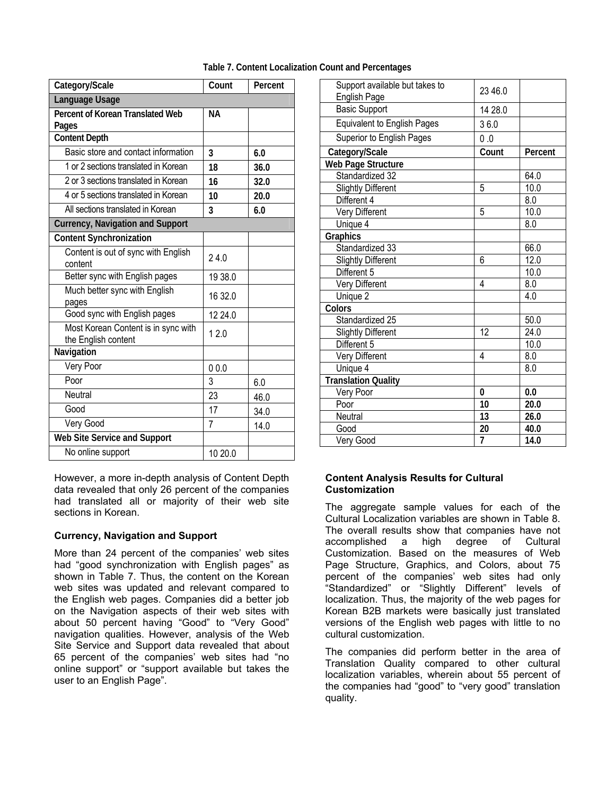| Category/Scale                                             | Count          | Percent |  |
|------------------------------------------------------------|----------------|---------|--|
| Language Usage                                             |                |         |  |
| Percent of Korean Translated Web                           | NА             |         |  |
| Pages                                                      |                |         |  |
| <b>Content Depth</b>                                       |                |         |  |
| Basic store and contact information                        | 3              | 6.0     |  |
| 1 or 2 sections translated in Korean                       | 18             | 36.0    |  |
| 2 or 3 sections translated in Korean                       | 16             | 32.0    |  |
| 4 or 5 sections translated in Korean                       | 10             | 20.0    |  |
| All sections translated in Korean                          | 3              | 6.0     |  |
| <b>Currency, Navigation and Support</b>                    |                |         |  |
| <b>Content Synchronization</b>                             |                |         |  |
| Content is out of sync with English<br>content             | 24.0           |         |  |
| Better sync with English pages                             | 19 38.0        |         |  |
| Much better sync with English<br>pages                     | 16 32.0        |         |  |
| Good sync with English pages                               | 12 24.0        |         |  |
| Most Korean Content is in sync with<br>the English content | 12.0           |         |  |
| Navigation                                                 |                |         |  |
| Very Poor                                                  | 00.0           |         |  |
| Poor                                                       | 3              | 6.0     |  |
| <b>Neutral</b>                                             | 23             | 46.0    |  |
| Good                                                       | 17             | 34.0    |  |
| Very Good                                                  | $\overline{7}$ | 14.0    |  |
| Web Site Service and Support                               |                |         |  |
| No online support                                          | 10 20.0        |         |  |

However, a more in-depth analysis of Content Depth data revealed that only 26 percent of the companies had translated all or majority of their web site sections in Korean.

#### **Currency, Navigation and Support**

More than 24 percent of the companies' web sites had "good synchronization with English pages" as shown in Table 7. Thus, the content on the Korean web sites was updated and relevant compared to the English web pages. Companies did a better job on the Navigation aspects of their web sites with about 50 percent having "Good" to "Very Good" navigation qualities. However, analysis of the Web Site Service and Support data revealed that about 65 percent of the companies' web sites had "no online support" or "support available but takes the user to an English Page".

| Support available but takes to<br>English Page | 23 46.0 |         |
|------------------------------------------------|---------|---------|
| <b>Basic Support</b>                           | 14 28.0 |         |
| <b>Equivalent to English Pages</b>             | 36.0    |         |
| Superior to English Pages                      | 0.0     |         |
| Category/Scale                                 | Count   | Percent |
| Web Page Structure                             |         |         |
| Standardized 32                                |         | 64.0    |
| <b>Slightly Different</b>                      | 5       | 10.0    |
| Different 4                                    |         | 8.0     |
| Very Different                                 | 5       | 10.0    |
| Unique 4                                       |         | 8.0     |
| Graphics                                       |         |         |
| Standardized 33                                |         | 66.0    |
| <b>Slightly Different</b>                      | 6       | 12.0    |
| Different 5                                    |         | 10.0    |
| Very Different                                 | 4       | 8.0     |
| Unique 2                                       |         | 4.0     |
| Colors                                         |         |         |
| Standardized 25                                |         | 50.0    |
| <b>Slightly Different</b>                      | 12      | 24.0    |
| Different 5                                    |         | 10.0    |
| Very Different                                 | 4       | 8.0     |
| Unique 4                                       |         | 8.0     |
| <b>Translation Quality</b>                     |         |         |
| Very Poor                                      | 0       | 0.0     |
| Poor                                           | 10      | 20.0    |
| Neutral                                        | 13      | 26.0    |
| Good                                           | 20      | 40.0    |
| Very Good                                      | 7       | 14.0    |

#### **Content Analysis Results for Cultural Customization**

The aggregate sample values for each of the Cultural Localization variables are shown in Table 8. The overall results show that companies have not accomplished a high degree of Cultural Customization. Based on the measures of Web Page Structure, Graphics, and Colors, about 75 percent of the companies' web sites had only "Standardized" or "Slightly Different" levels of localization. Thus, the majority of the web pages for Korean B2B markets were basically just translated versions of the English web pages with little to no cultural customization.

The companies did perform better in the area of Translation Quality compared to other cultural localization variables, wherein about 55 percent of the companies had "good" to "very good" translation quality.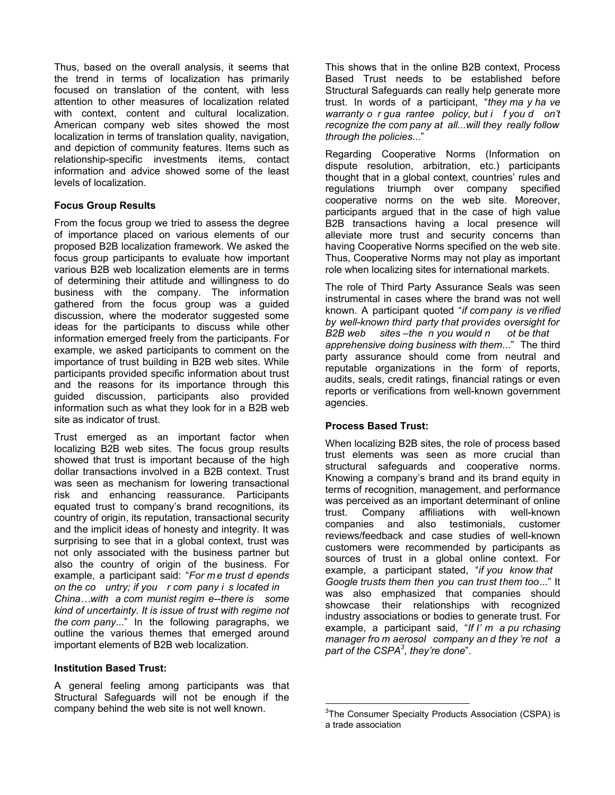Thus, based on the overall analysis, it seems that the trend in terms of localization has primarily focused on translation of the content, with less attention to other measures of localization related with context, content and cultural localization. American company web sites showed the most localization in terms of translation quality, navigation, and depiction of community features. Items such as relationship-specific investments items, contact information and advice showed some of the least levels of localization.

#### **Focus Group Results**

From the focus group we tried to assess the degree of importance placed on various elements of our proposed B2B localization framework. We asked the focus group participants to evaluate how important various B2B web localization elements are in terms of determining their attitude and willingness to do business with the company. The information gathered from the focus group was a guided discussion, where the moderator suggested some ideas for the participants to discuss while other information emerged freely from the participants. For example, we asked participants to comment on the importance of trust building in B2B web sites. While participants provided specific information about trust and the reasons for its importance through this guided discussion, participants also provided information such as what they look for in a B2B web site as indicator of trust.

Trust emerged as an important factor when localizing B2B web sites. The focus group results showed that trust is important because of the high dollar transactions involved in a B2B context. Trust was seen as mechanism for lowering transactional risk and enhancing reassurance. Participants equated trust to company's brand recognitions, its country of origin, its reputation, transactional security and the implicit ideas of honesty and integrity. It was surprising to see that in a global context, trust was not only associated with the business partner but also the country of origin of the business. For example, a participant said: "*For m e trust d epends on the co untry; if you r com pany i s located in China…with a com munist regim e--there is some kind of uncertainty. It is issue of trust with regime not the com pany*..." In the following paragraphs, we outline the various themes that emerged around important elements of B2B web localization.

#### **Institution Based Trust:**

A general feeling among participants was that Structural Safeguards will not be enough if the company behind the web site is not well known.

This shows that in the online B2B context, Process Based Trust needs to be established before Structural Safeguards can really help generate more trust. In words of a participant, "*they ma y ha ve warranty o r gua rantee policy, but i f you d on't recognize the com pany at all...will they really follow through the policies*..."

Regarding Cooperative Norms (Information on dispute resolution, arbitration, etc.) participants thought that in a global context, countries' rules and regulations triumph over company specified cooperative norms on the web site. Moreover, participants argued that in the case of high value B2B transactions having a local presence will alleviate more trust and security concerns than having Cooperative Norms specified on the web site. Thus, Cooperative Norms may not play as important role when localizing sites for international markets.

The role of Third Party Assurance Seals was seen instrumental in cases where the brand was not well known. A participant quoted "*if com pany is ve rified by well-known third party that provides oversight for B2B web sites –the n you would n ot be that apprehensive doing business with them.*.." The third party assurance should come from neutral and reputable organizations in the form of reports, audits, seals, credit ratings, financial ratings or even reports or verifications from well-known government agencies.

#### **Process Based Trust:**

When localizing B2B sites, the role of process based trust elements was seen as more crucial than structural safeguards and cooperative norms. Knowing a company's brand and its brand equity in terms of recognition, management, and performance was perceived as an important determinant of online trust. Company affiliations with well-known companies and also testimonials, customer reviews/feedback and case studies of well-known customers were recommended by participants as sources of trust in a global online context. For example, a participant stated, "*if you know that Google trusts them then you can trust them too*..." It was also emphasized that companies should showcase their relationships with recognized industry associations or bodies to generate trust. For example, a participant said, "*If I' m a pu rchasing manager fro m aerosol company an d they 're not a part of the CSPA3 , they're done*".

 $\overline{a}$ <sup>3</sup>The Consumer Specialty Products Association (CSPA) is a trade association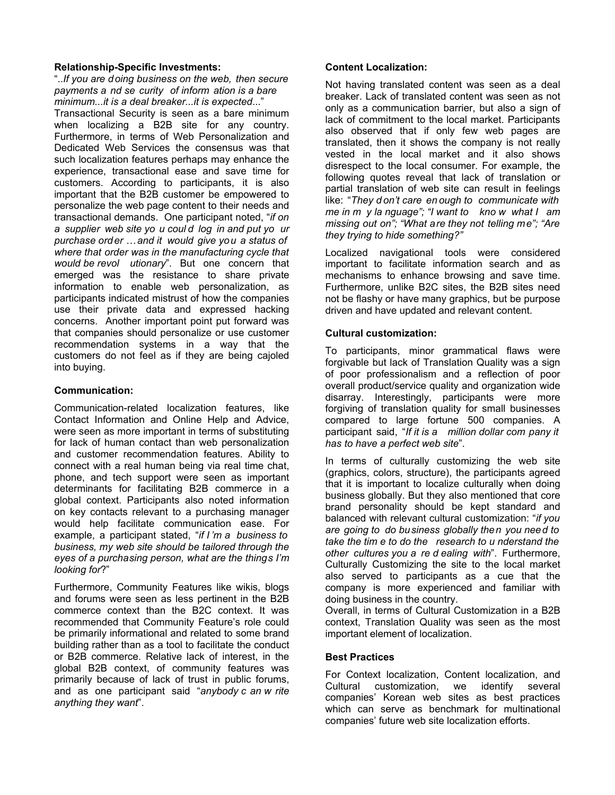#### **Relationship-Specific Investments:**

"..*If you are doing business on the web, then secure payments a nd se curity of inform ation is a bare minimum...it is a deal breaker...it is expected*..."

Transactional Security is seen as a bare minimum when localizing a B2B site for any country. Furthermore, in terms of Web Personalization and Dedicated Web Services the consensus was that such localization features perhaps may enhance the experience, transactional ease and save time for customers. According to participants, it is also important that the B2B customer be empowered to personalize the web page content to their needs and transactional demands. One participant noted, "*if on a supplier web site yo u coul d log in and put yo ur purchase order …and it would give you a status of where that order was in the manufacturing cycle that would be revol utionary*". But one concern that emerged was the resistance to share private information to enable web personalization, as participants indicated mistrust of how the companies use their private data and expressed hacking concerns. Another important point put forward was that companies should personalize or use customer recommendation systems in a way that the customers do not feel as if they are being cajoled into buying.

#### **Communication:**

Communication-related localization features, like Contact Information and Online Help and Advice, were seen as more important in terms of substituting for lack of human contact than web personalization and customer recommendation features. Ability to connect with a real human being via real time chat, phone, and tech support were seen as important determinants for facilitating B2B commerce in a global context. Participants also noted information on key contacts relevant to a purchasing manager would help facilitate communication ease. For example, a participant stated, "*if I 'm a business to business, my web site should be tailored through the eyes of a purchasing person, what are the things I'm looking for*?"

Furthermore, Community Features like wikis, blogs and forums were seen as less pertinent in the B2B commerce context than the B2C context. It was recommended that Community Feature's role could be primarily informational and related to some brand building rather than as a tool to facilitate the conduct or B2B commerce. Relative lack of interest, in the global B2B context, of community features was primarily because of lack of trust in public forums, and as one participant said "*anybody c an w rite anything they want*".

#### **Content Localization:**

Not having translated content was seen as a deal breaker. Lack of translated content was seen as not only as a communication barrier, but also a sign of lack of commitment to the local market. Participants also observed that if only few web pages are translated, then it shows the company is not really vested in the local market and it also shows disrespect to the local consumer. For example, the following quotes reveal that lack of translation or partial translation of web site can result in feelings like: "*They d on't care en ough to communicate with me in m y la nguage"; "I want to kno w what I am missing out on"; "What are they not telling me"; "Are they trying to hide something?"* 

Localized navigational tools were considered important to facilitate information search and as mechanisms to enhance browsing and save time. Furthermore, unlike B2C sites, the B2B sites need not be flashy or have many graphics, but be purpose driven and have updated and relevant content.

#### **Cultural customization:**

To participants, minor grammatical flaws were forgivable but lack of Translation Quality was a sign of poor professionalism and a reflection of poor overall product/service quality and organization wide disarray. Interestingly, participants were more forgiving of translation quality for small businesses compared to large fortune 500 companies. A participant said, "*If it is a million dollar com pany it has to have a perfect web site*".

In terms of culturally customizing the web site (graphics, colors, structure), the participants agreed that it is important to localize culturally when doing business globally. But they also mentioned that core brand personality should be kept standard and balanced with relevant cultural customization: "*if you are going to do business globally then you need to take the tim e to do the research to u nderstand the other cultures you a re d ealing with*". Furthermore, Culturally Customizing the site to the local market also served to participants as a cue that the company is more experienced and familiar with doing business in the country.

Overall, in terms of Cultural Customization in a B2B context, Translation Quality was seen as the most important element of localization.

#### **Best Practices**

For Context localization, Content localization, and Cultural customization, we identify several companies' Korean web sites as best practices which can serve as benchmark for multinational companies' future web site localization efforts.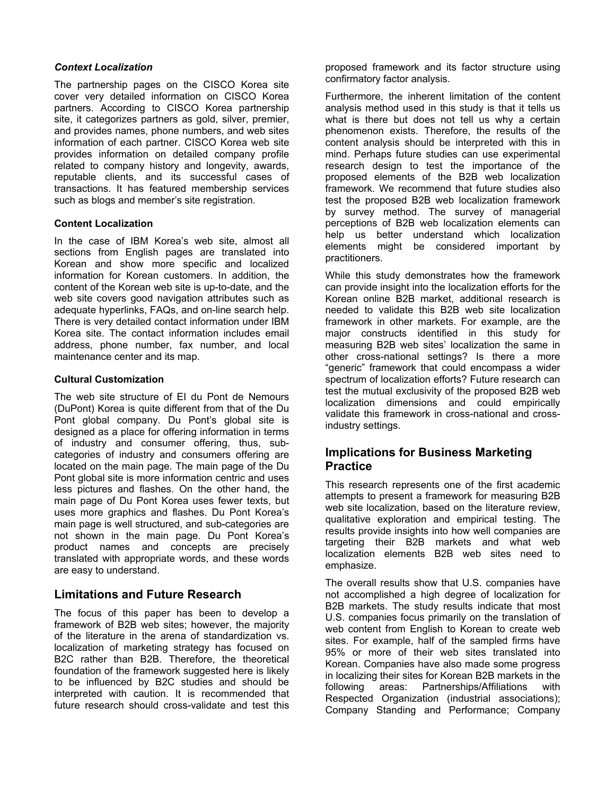#### *Context Localization*

The partnership pages on the CISCO Korea site cover very detailed information on CISCO Korea partners. According to CISCO Korea partnership site, it categorizes partners as gold, silver, premier, and provides names, phone numbers, and web sites information of each partner. CISCO Korea web site provides information on detailed company profile related to company history and longevity, awards, reputable clients, and its successful cases of transactions. It has featured membership services such as blogs and member's site registration.

#### **Content Localization**

In the case of IBM Korea's web site, almost all sections from English pages are translated into Korean and show more specific and localized information for Korean customers. In addition, the content of the Korean web site is up-to-date, and the web site covers good navigation attributes such as adequate hyperlinks, FAQs, and on-line search help. There is very detailed contact information under IBM Korea site. The contact information includes email address, phone number, fax number, and local maintenance center and its map.

#### **Cultural Customization**

The web site structure of EI du Pont de Nemours (DuPont) Korea is quite different from that of the Du Pont global company. Du Pont's global site is designed as a place for offering information in terms of industry and consumer offering, thus, subcategories of industry and consumers offering are located on the main page. The main page of the Du Pont global site is more information centric and uses less pictures and flashes. On the other hand, the main page of Du Pont Korea uses fewer texts, but uses more graphics and flashes. Du Pont Korea's main page is well structured, and sub-categories are not shown in the main page. Du Pont Korea's product names and concepts are precisely translated with appropriate words, and these words are easy to understand.

# **Limitations and Future Research**

The focus of this paper has been to develop a framework of B2B web sites; however, the majority of the literature in the arena of standardization vs. localization of marketing strategy has focused on B2C rather than B2B. Therefore, the theoretical foundation of the framework suggested here is likely to be influenced by B2C studies and should be interpreted with caution. It is recommended that future research should cross-validate and test this

proposed framework and its factor structure using confirmatory factor analysis.

Furthermore, the inherent limitation of the content analysis method used in this study is that it tells us what is there but does not tell us why a certain phenomenon exists. Therefore, the results of the content analysis should be interpreted with this in mind. Perhaps future studies can use experimental research design to test the importance of the proposed elements of the B2B web localization framework. We recommend that future studies also test the proposed B2B web localization framework by survey method. The survey of managerial perceptions of B2B web localization elements can help us better understand which localization elements might be considered important by practitioners.

While this study demonstrates how the framework can provide insight into the localization efforts for the Korean online B2B market, additional research is needed to validate this B2B web site localization framework in other markets. For example, are the major constructs identified in this study for measuring B2B web sites' localization the same in other cross-national settings? Is there a more "generic" framework that could encompass a wider spectrum of localization efforts? Future research can test the mutual exclusivity of the proposed B2B web localization dimensions and could empirically validate this framework in cross-national and crossindustry settings.

# **Implications for Business Marketing Practice**

This research represents one of the first academic attempts to present a framework for measuring B2B web site localization, based on the literature review, qualitative exploration and empirical testing. The results provide insights into how well companies are targeting their B2B markets and what web localization elements B2B web sites need to emphasize.

The overall results show that U.S. companies have not accomplished a high degree of localization for B2B markets. The study results indicate that most U.S. companies focus primarily on the translation of web content from English to Korean to create web sites. For example, half of the sampled firms have 95% or more of their web sites translated into Korean. Companies have also made some progress in localizing their sites for Korean B2B markets in the following areas: Partnerships/Affiliations with Respected Organization (industrial associations); Company Standing and Performance; Company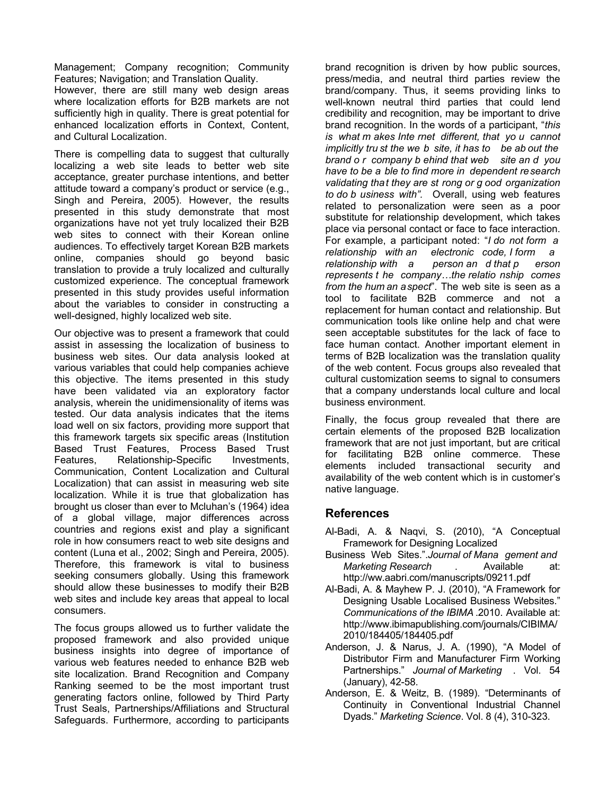Management; Company recognition; Community Features; Navigation; and Translation Quality. However, there are still many web design areas where localization efforts for B2B markets are not sufficiently high in quality. There is great potential for enhanced localization efforts in Context, Content, and Cultural Localization.

There is compelling data to suggest that culturally localizing a web site leads to better web site acceptance, greater purchase intentions, and better attitude toward a company's product or service (e.g., Singh and Pereira, 2005). However, the results presented in this study demonstrate that most organizations have not yet truly localized their B2B web sites to connect with their Korean online audiences. To effectively target Korean B2B markets online, companies should go beyond basic translation to provide a truly localized and culturally customized experience. The conceptual framework presented in this study provides useful information about the variables to consider in constructing a well-designed, highly localized web site.

Our objective was to present a framework that could assist in assessing the localization of business to business web sites. Our data analysis looked at various variables that could help companies achieve this objective. The items presented in this study have been validated via an exploratory factor analysis, wherein the unidimensionality of items was tested. Our data analysis indicates that the items load well on six factors, providing more support that this framework targets six specific areas (Institution Based Trust Features, Process Based Trust Features, Relationship-Specific Investments, Communication, Content Localization and Cultural Localization) that can assist in measuring web site localization. While it is true that globalization has brought us closer than ever to Mcluhan's (1964) idea of a global village, major differences across countries and regions exist and play a significant role in how consumers react to web site designs and content (Luna et al., 2002; Singh and Pereira, 2005). Therefore, this framework is vital to business seeking consumers globally. Using this framework should allow these businesses to modify their B2B web sites and include key areas that appeal to local consumers.

The focus groups allowed us to further validate the proposed framework and also provided unique business insights into degree of importance of various web features needed to enhance B2B web site localization. Brand Recognition and Company Ranking seemed to be the most important trust generating factors online, followed by Third Party Trust Seals, Partnerships/Affiliations and Structural Safeguards. Furthermore, according to participants

brand recognition is driven by how public sources, press/media, and neutral third parties review the brand/company. Thus, it seems providing links to well-known neutral third parties that could lend credibility and recognition, may be important to drive brand recognition. In the words of a participant, "*this is what m akes Inte rnet different, that yo u cannot implicitly tru st the we b site, it has to be ab out the brand o r company b ehind that web site an d you have to be a ble to find more in dependent research validating that they are st rong or g ood organization to do b usiness with".* Overall, using web features related to personalization were seen as a poor substitute for relationship development, which takes place via personal contact or face to face interaction. For example, a participant noted: "*I do not form a relationship with an electronic code, I form a relationship with a person an d that p erson represents t he company…the relatio nship comes from the hum an aspect*". The web site is seen as a tool to facilitate B2B commerce and not a replacement for human contact and relationship. But communication tools like online help and chat were seen acceptable substitutes for the lack of face to face human contact. Another important element in terms of B2B localization was the translation quality of the web content. Focus groups also revealed that cultural customization seems to signal to consumers that a company understands local culture and local business environment.

Finally, the focus group revealed that there are certain elements of the proposed B2B localization framework that are not just important, but are critical for facilitating B2B online commerce. These elements included transactional security and availability of the web content which is in customer's native language.

# **References**

- Al-Badi, A. & Naqvi, S. (2010), "A Conceptual Framework for Designing Localized
- Business Web Sites.".*Journal of Mana gement and Marketing Research* . Available at: http://ww.aabri.com/manuscripts/09211.pdf
- Al-Badi, A. & Mayhew P. J. (2010), "A Framework for Designing Usable Localised Business Websites." *Communications of the IBIMA* .2010. Available at: http://www.ibimapublishing.com/journals/CIBIMA/ 2010/184405/184405.pdf
- Anderson, J. & Narus, J. A. (1990), "A Model of Distributor Firm and Manufacturer Firm Working Partnerships." *Journal of Marketing* . Vol. 54 (January), 42-58.
- Anderson, E. & Weitz, B. (1989). "Determinants of Continuity in Conventional Industrial Channel Dyads." *Marketing Science*. Vol. 8 (4), 310-323.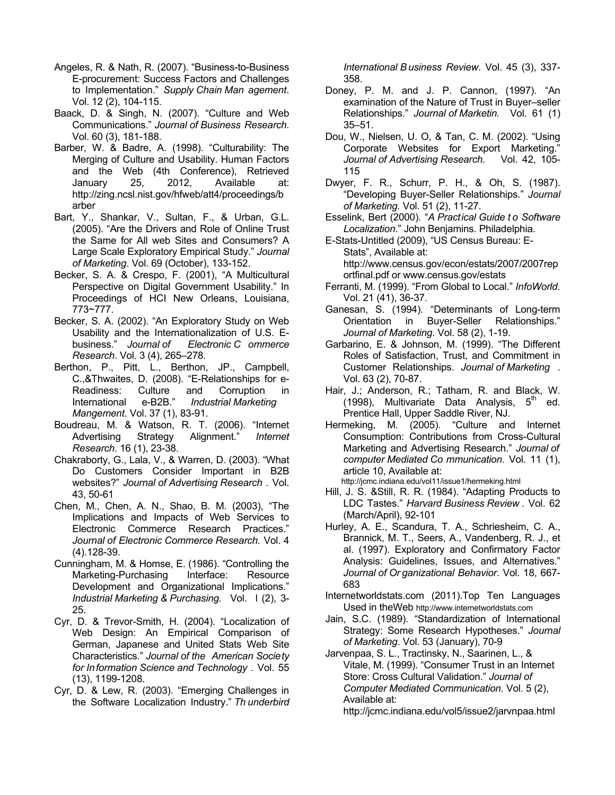- Angeles, R. & Nath, R. (2007). "Business-to-Business E-procurement: Success Factors and Challenges to Implementation." *Supply Chain Man agement*. Vol. 12 (2), 104-115.
- Baack, D. & Singh, N. (2007). "Culture and Web Communications." *Journal of Business Research*. Vol. 60 (3), 181-188.
- Barber, W. & Badre, A. (1998). "Culturability: The Merging of Culture and Usability. Human Factors and the Web (4th Conference), Retrieved January 25, 2012, Available at: http://zing.ncsl.nist.gov/hfweb/att4/proceedings/b arber
- Bart, Y., Shankar, V., Sultan, F., & Urban, G.L. (2005). "Are the Drivers and Role of Online Trust the Same for All web Sites and Consumers? A Large Scale Exploratory Empirical Study." *Journal of Marketing*. Vol. 69 (October), 133-152.
- Becker, S. A. & Crespo, F. (2001), "A Multicultural Perspective on Digital Government Usability." In Proceedings of HCI New Orleans, Louisiana, 773~777.
- Becker, S. A. (2002). "An Exploratory Study on Web Usability and the Internationalization of U.S. Ebusiness." *Journal of Electronic C ommerce Research*. Vol. 3 (4), 265–278.
- Berthon, P., Pitt, L., Berthon, JP., Campbell, C.,&Thwaites, D. (2008). "E-Relationships for e-Readiness: Culture and Corruption in<br>International e-B2B." Industrial Marketing International e-B2B." *Industrial Marketing Mangement*. Vol. 37 (1), 83-91.
- Boudreau, M. & Watson, R. T. (2006). "Internet Advertising Strategy Alignment." *Internet Research*. 16 (1), 23-38.
- Chakraborty, G., Lala, V., & Warren, D. (2003). "What Do Customers Consider Important in B2B websites?" *Journal of Advertising Research* . Vol. 43, 50-61
- Chen, M., Chen, A. N., Shao, B. M. (2003), "The Implications and Impacts of Web Services to Electronic Commerce Research Practices." *Journal of Electronic Commerce Research.* Vol. 4 (4).128-39.
- Cunningham, M. & Homse, E. (1986). "Controlling the Marketing-Purchasing Interface: Resource Development and Organizational Implications." *Industrial Marketing & Purchasing.* Vol. l (2), 3- 25.
- Cyr, D. & Trevor-Smith, H. (2004). "Localization of Web Design: An Empirical Comparison of German, Japanese and United Stats Web Site Characteristics." *Journal of the American Society for Information Science and Technology* . Vol. 55 (13), 1199-1208.
- Cyr, D. & Lew, R. (2003). "Emerging Challenges in the Software Localization Industry." *Th underbird*

*International B usiness Review*. Vol. 45 (3), 337- 358.

- Doney, P. M. and J. P. Cannon, (1997). "An examination of the Nature of Trust in Buyer–seller Relationships." *Journal of Marketin.* Vol. 61 (1) 35–51.
- Dou, W., Nielsen, U. O, & Tan, C. M. (2002). "Using Corporate Websites for Export Marketing." *Journal of Advertising Research.* Vol. 42, 105- 115
- Dwyer, F. R., Schurr, P. H., & Oh, S. (1987). "Developing Buyer-Seller Relationships." *Journal of Marketing.* Vol. 51 (2), 11-27.
- Esselink, Bert (2000). "*A Practical Guide t o Software Localization*." John Benjamins. Philadelphia.
- E-Stats-Untitled (2009), "US Census Bureau: E-Stats", Available at: http://www.census.gov/econ/estats/2007/2007rep ortfinal.pdf or www.census.gov/estats
- Ferranti, M. (1999). "From Global to Local." *InfoWorld.* Vol. 21 (41), 36-37.
- Ganesan, S. (1994). "Determinants of Long-term Orientation in Buyer-Seller Relationships." *Journal of Marketing*. Vol. 58 (2), 1-19.
- Garbarino, E. & Johnson, M. (1999). "The Different Roles of Satisfaction, Trust, and Commitment in Customer Relationships. *Journal of Marketing* . Vol. 63 (2), 70-87.
- Hair, J.; Anderson, R.; Tatham, R. and Black, W. (1998), Multivariate Data Analysis,  $5<sup>th</sup>$  ed. Prentice Hall, Upper Saddle River, NJ.
- Hermeking, M. (2005). "Culture and Internet Consumption: Contributions from Cross-Cultural Marketing and Advertising Research." *Journal of computer Mediated Co mmunication*. Vol. 11 (1), article 10, Available at: http://jcmc.indiana.edu/vol11/issue1/hermeking.html
- 
- Hill, J. S. &Still, R. R. (1984). "Adapting Products to LDC Tastes." *Harvard Business Review* . Vol. 62 (March/April), 92-101
- Hurley, A. E., Scandura, T. A., Schriesheim, C. A., Brannick, M. T., Seers, A., Vandenberg, R. J., et al. (1997). Exploratory and Confirmatory Factor Analysis: Guidelines, Issues, and Alternatives." *Journal of Or ganizational Behavior*. Vol. 18, 667- 683
- Internetworldstats.com (2011).Top Ten Languages Used in theWeb http://www.internetworldstats.com
- Jain, S.C. (1989). "Standardization of International Strategy: Some Research Hypotheses." *Journal of Marketing*. Vol. 53 (January), 70-9
- Jarvenpaa, S. L., Tractinsky, N., Saarinen, L., & Vitale, M. (1999). "Consumer Trust in an Internet Store: Cross Cultural Validation." *Journal of Computer Mediated Communication.* Vol. 5 (2), Available at: http://jcmc.indiana.edu/vol5/issue2/jarvnpaa.html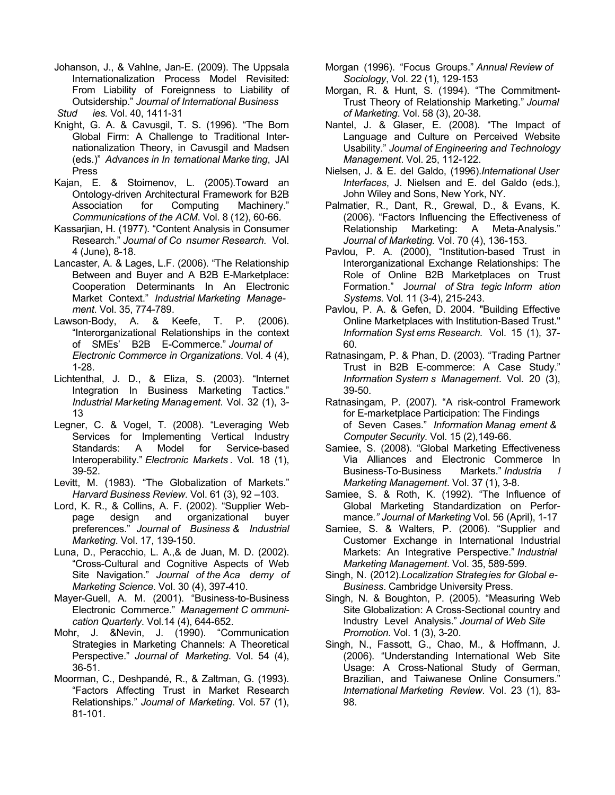- Johanson, J., & Vahlne, Jan-E. (2009). The Uppsala Internationalization Process Model Revisited: From Liability of Foreignness to Liability of Outsidership." *Journal of International Business Stud ies.* Vol. 40, 1411-31
- Knight, G. A. & Cavusgil, T. S. (1996). "The Born Global Firm: A Challenge to Traditional Internationalization Theory, in Cavusgil and Madsen (eds.)" *Advances in In ternational Marke ting*, JAI Press
- Kajan, E. & Stoimenov, L. (2005).Toward an Ontology-driven Architectural Framework for B2B Association for Computing Machinery." *Communications of the ACM*. Vol. 8 (12), 60-66.
- Kassarjian, H. (1977). "Content Analysis in Consumer Research." *Journal of Co nsumer Research.* Vol. 4 (June), 8-18.
- Lancaster, A. & Lages, L.F. (2006). "The Relationship Between and Buyer and A B2B E-Marketplace: Cooperation Determinants In An Electronic Market Context." *Industrial Marketing Management*. Vol. 35, 774-789.
- Lawson-Body, A. & Keefe, T. P. (2006). "Interorganizational Relationships in the context of SMEs' B2B E-Commerce." *Journal of Electronic Commerce in Organizations*. Vol. 4 (4), 1-28.
- Lichtenthal, J. D., & Eliza, S. (2003). "Internet Integration In Business Marketing Tactics." *Industrial Marketing Management*. Vol. 32 (1), 3- 13
- Legner, C. & Vogel, T. (2008). "Leveraging Web Services for Implementing Vertical Industry Standards: A Model for Service-based Interoperability." *Electronic Markets* . Vol. 18 (1), 39-52.
- Levitt, M. (1983). "The Globalization of Markets." *Harvard Business Review*. Vol. 61 (3), 92 –103.
- Lord, K. R., & Collins, A. F. (2002). "Supplier Webpage design and organizational buyer preferences." *Journal of Business & Industrial Marketing*. Vol. 17, 139-150.
- Luna, D., Peracchio, L. A.,& de Juan, M. D. (2002). "Cross-Cultural and Cognitive Aspects of Web Site Navigation." *Journal of the Aca demy of Marketing Science*. Vol. 30 (4), 397-410.
- Mayer-Guell, A. M. (2001). "Business-to-Business Electronic Commerce." *Management C ommunication Quarterly*. Vol.14 (4), 644-652.
- Mohr, J. &Nevin, J. (1990). "Communication Strategies in Marketing Channels: A Theoretical Perspective." *Journal of Marketing*. Vol. 54 (4), 36-51.
- Moorman, C., Deshpandé, R., & Zaltman, G. (1993). "Factors Affecting Trust in Market Research Relationships." *Journal of Marketing*. Vol. 57 (1), 81-101.
- Morgan (1996). "Focus Groups." *Annual Review of Sociology*, Vol. 22 (1), 129-153
- Morgan, R. & Hunt, S. (1994). "The Commitment-Trust Theory of Relationship Marketing." *Journal of Marketing*. Vol. 58 (3), 20-38.
- Nantel, J. & Glaser, E. (2008). "The Impact of Language and Culture on Perceived Website Usability." *Journal of Engineering and Technology Management*. Vol. 25, 112-122.
- Nielsen, J. & E. del Galdo, (1996).*International User Interfaces*, J. Nielsen and E. del Galdo (eds.), John Wiley and Sons, New York, NY.
- Palmatier, R., Dant, R., Grewal, D., & Evans, K. (2006). "Factors Influencing the Effectiveness of Relationship Marketing: A Meta-Analysis." *Journal of Marketing.* Vol. 70 (4), 136-153.
- Pavlou, P. A. (2000), "Institution-based Trust in Interorganizational Exchange Relationships: The Role of Online B2B Marketplaces on Trust Formation." J*ournal of Stra tegic Inform ation Systems.* Vol*.* 11 (3-4), 215-243.
- Pavlou, P. A. & Gefen, D. 2004. "Building Effective Online Marketplaces with Institution-Based Trust." *Information Syst ems Research.* Vol. 15 (1), 37- 60.
- Ratnasingam, P. & Phan, D. (2003). "Trading Partner Trust in B2B E-commerce: A Case Study." *Information System s Management*. Vol. 20 (3), 39-50.
- Ratnasingam, P. (2007). "A risk-control Framework for E-marketplace Participation: The Findings of Seven Cases." *Information Manag ement & Computer Security.* Vol. 15 (2),149-66.
- Samiee, S. (2008). "Global Marketing Effectiveness Via Alliances and Electronic Commerce In Business-To-Business Markets." *Industria l Marketing Management*. Vol. 37 (1), 3-8.
- Samiee, S. & Roth, K. (1992). "The Influence of Global Marketing Standardization on Performance*." Journal of Marketing* Vol. 56 (April), 1-17
- Samiee, S. & Walters, P. (2006). "Supplier and Customer Exchange in International Industrial Markets: An Integrative Perspective." *Industrial Marketing Management*. Vol. 35, 589-599.
- Singh, N. (2012).*Localization Strategies for Global e-Business*. Cambridge University Press.
- Singh, N. & Boughton, P. (2005). "Measuring Web Site Globalization: A Cross-Sectional country and Industry Level Analysis." *Journal of Web Site Promotion*. Vol. 1 (3), 3-20.
- Singh, N., Fassott, G., Chao, M., & Hoffmann, J. (2006). "Understanding International Web Site Usage: A Cross-National Study of German, Brazilian, and Taiwanese Online Consumers." *International Marketing Review*. Vol. 23 (1), 83- 98.